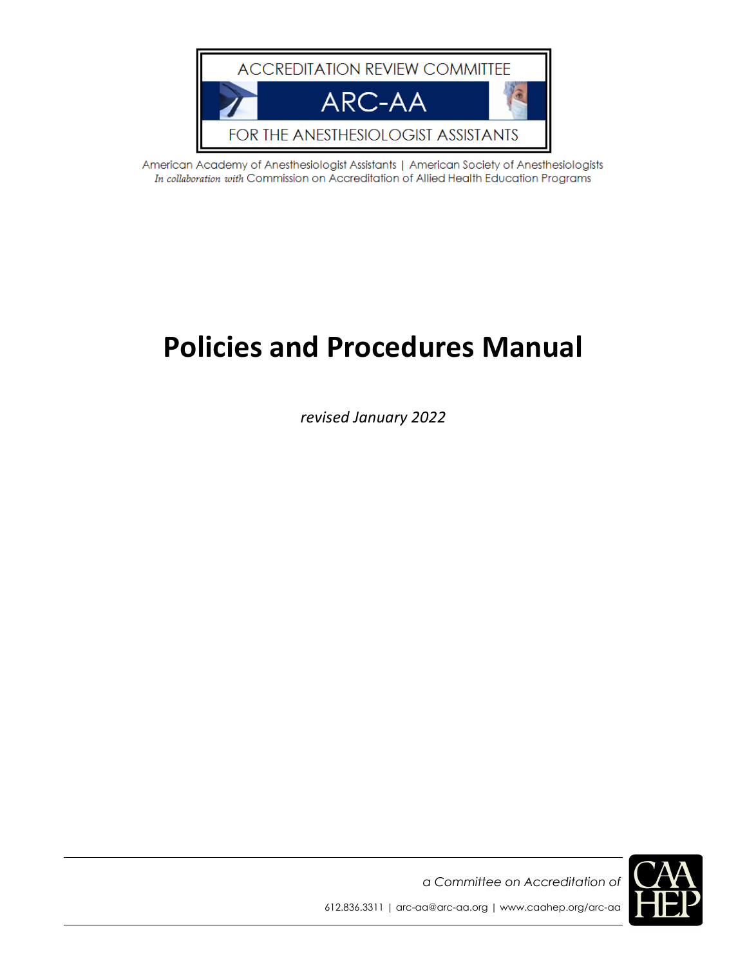

American Academy of Anesthesiologist Assistants | American Society of Anesthesiologists In collaboration with Commission on Accreditation of Allied Health Education Programs

# **Policies and Procedures Manual**

*revised January 2022*



*a Committee on Accreditation of*  612.836.3311 | arc-aa@arc-aa.org | www.caahep.org/arc-aa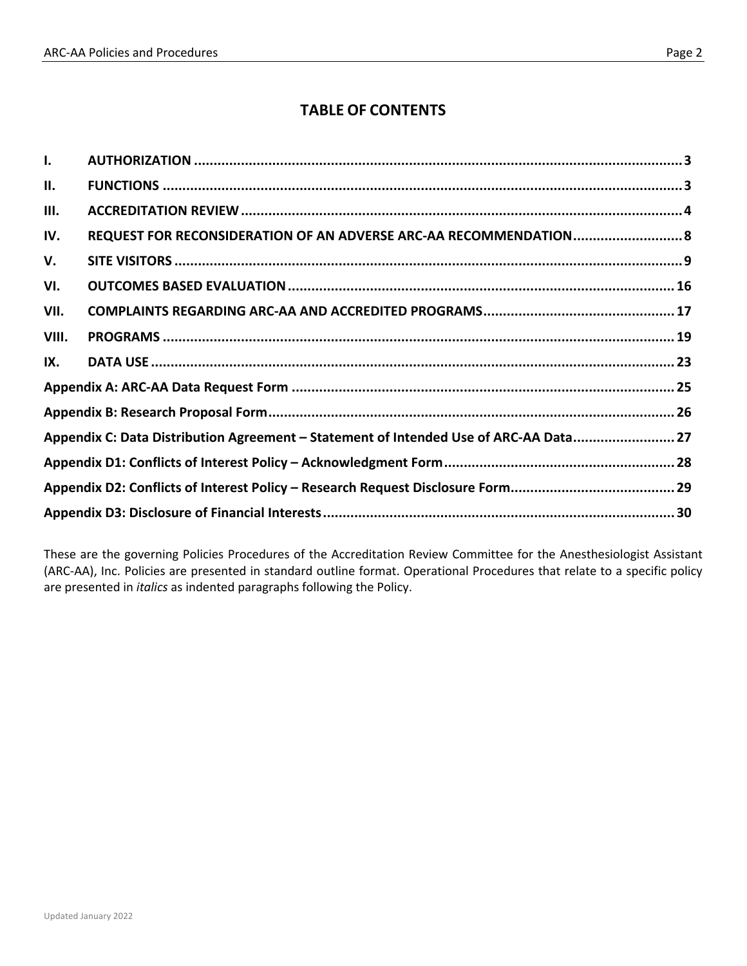## **TABLE OF CONTENTS**

| $\mathbf{I}$ .                                                                        |                                                                   |  |
|---------------------------------------------------------------------------------------|-------------------------------------------------------------------|--|
| Ш.                                                                                    |                                                                   |  |
| III.                                                                                  |                                                                   |  |
| IV.                                                                                   | REQUEST FOR RECONSIDERATION OF AN ADVERSE ARC-AA RECOMMENDATION 8 |  |
| V.                                                                                    |                                                                   |  |
| VI.                                                                                   |                                                                   |  |
| VII.                                                                                  |                                                                   |  |
| VIII.                                                                                 |                                                                   |  |
| IX.                                                                                   |                                                                   |  |
|                                                                                       |                                                                   |  |
|                                                                                       |                                                                   |  |
| Appendix C: Data Distribution Agreement - Statement of Intended Use of ARC-AA Data 27 |                                                                   |  |
|                                                                                       |                                                                   |  |
|                                                                                       |                                                                   |  |
|                                                                                       |                                                                   |  |

These are the governing Policies Procedures of the Accreditation Review Committee for the Anesthesiologist Assistant (ARC-AA), Inc. Policies are presented in standard outline format. Operational Procedures that relate to a specific policy are presented in *italics* as indented paragraphs following the Policy.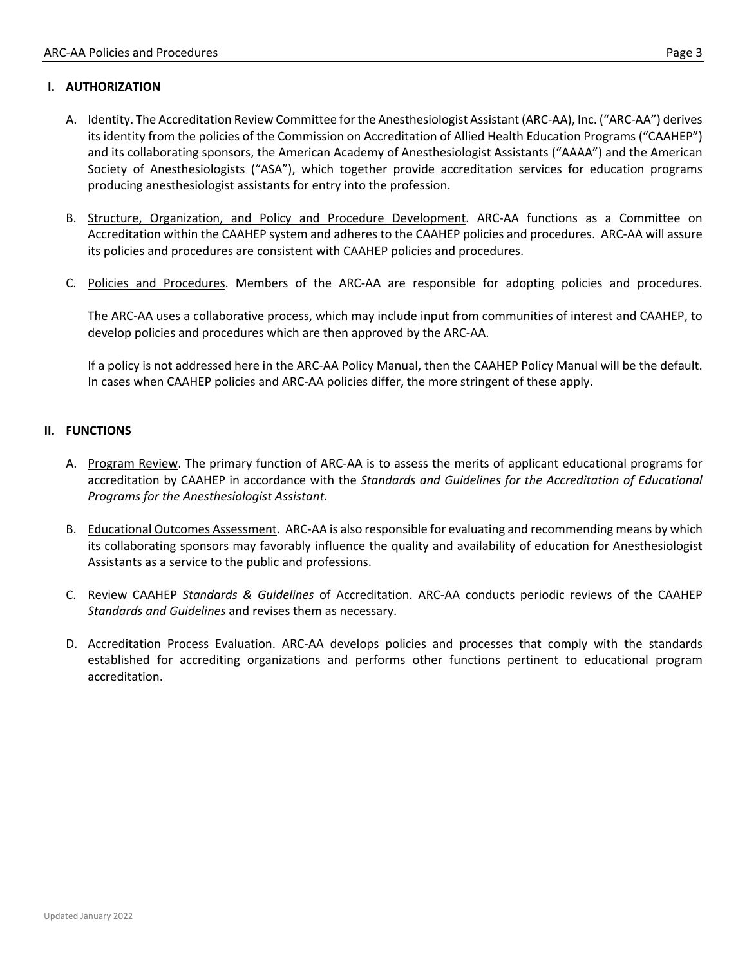#### **I. AUTHORIZATION**

- A. Identity. The Accreditation Review Committee for the Anesthesiologist Assistant (ARC-AA), Inc. ("ARC-AA") derives its identity from the policies of the Commission on Accreditation of Allied Health Education Programs ("CAAHEP") and its collaborating sponsors, the American Academy of Anesthesiologist Assistants ("AAAA") and the American Society of Anesthesiologists ("ASA"), which together provide accreditation services for education programs producing anesthesiologist assistants for entry into the profession.
- B. Structure, Organization, and Policy and Procedure Development. ARC-AA functions as a Committee on Accreditation within the CAAHEP system and adheres to the CAAHEP policies and procedures. ARC-AA will assure its policies and procedures are consistent with CAAHEP policies and procedures.
- C. Policies and Procedures. Members of the ARC-AA are responsible for adopting policies and procedures.

The ARC-AA uses a collaborative process, which may include input from communities of interest and CAAHEP, to develop policies and procedures which are then approved by the ARC-AA.

If a policy is not addressed here in the ARC-AA Policy Manual, then the CAAHEP Policy Manual will be the default. In cases when CAAHEP policies and ARC-AA policies differ, the more stringent of these apply.

#### **II. FUNCTIONS**

- A. Program Review. The primary function of ARC-AA is to assess the merits of applicant educational programs for accreditation by CAAHEP in accordance with the *Standards and Guidelines for the Accreditation of Educational Programs for the Anesthesiologist Assistant*.
- B. Educational Outcomes Assessment. ARC-AA is also responsible for evaluating and recommending means by which its collaborating sponsors may favorably influence the quality and availability of education for Anesthesiologist Assistants as a service to the public and professions.
- C. Review CAAHEP *Standards & Guidelines* of Accreditation. ARC-AA conducts periodic reviews of the CAAHEP *Standards and Guidelines* and revises them as necessary.
- D. Accreditation Process Evaluation. ARC-AA develops policies and processes that comply with the standards established for accrediting organizations and performs other functions pertinent to educational program accreditation.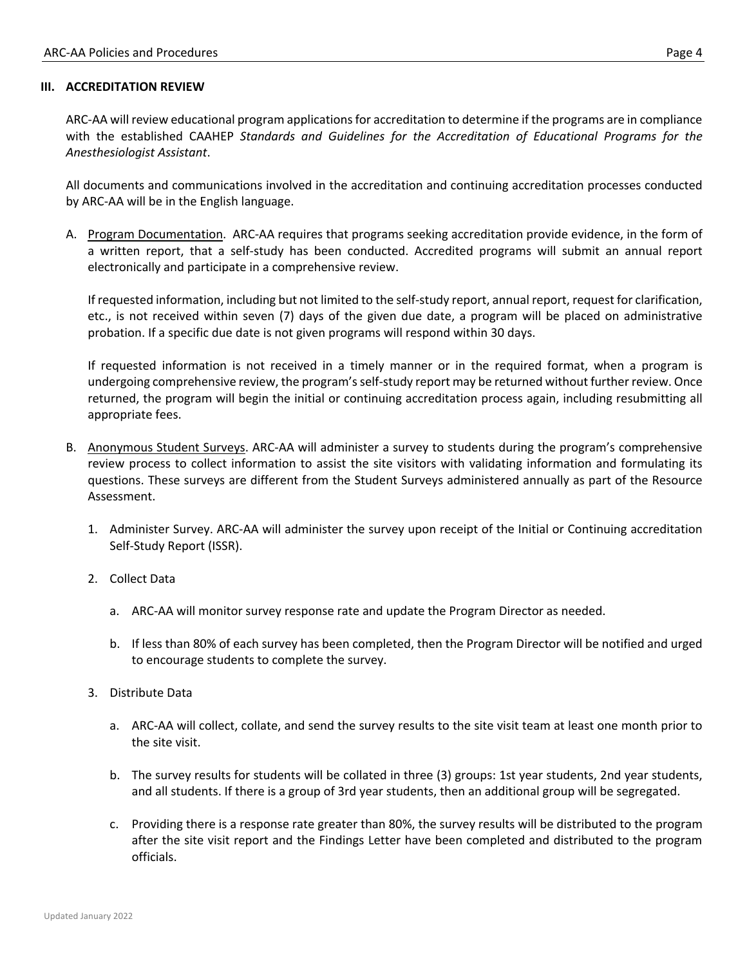#### **III. ACCREDITATION REVIEW**

ARC-AA will review educational program applications for accreditation to determine if the programs are in compliance with the established CAAHEP *Standards and Guidelines for the Accreditation of Educational Programs for the Anesthesiologist Assistant*.

All documents and communications involved in the accreditation and continuing accreditation processes conducted by ARC-AA will be in the English language.

A. Program Documentation. ARC-AA requires that programs seeking accreditation provide evidence, in the form of a written report, that a self-study has been conducted. Accredited programs will submit an annual report electronically and participate in a comprehensive review.

If requested information, including but not limited to the self-study report, annual report, request for clarification, etc., is not received within seven (7) days of the given due date, a program will be placed on administrative probation. If a specific due date is not given programs will respond within 30 days.

If requested information is not received in a timely manner or in the required format, when a program is undergoing comprehensive review, the program's self-study report may be returned without further review. Once returned, the program will begin the initial or continuing accreditation process again, including resubmitting all appropriate fees.

- B. Anonymous Student Surveys. ARC-AA will administer a survey to students during the program's comprehensive review process to collect information to assist the site visitors with validating information and formulating its questions. These surveys are different from the Student Surveys administered annually as part of the Resource Assessment.
	- 1. Administer Survey. ARC-AA will administer the survey upon receipt of the Initial or Continuing accreditation Self-Study Report (ISSR).
	- 2. Collect Data
		- a. ARC-AA will monitor survey response rate and update the Program Director as needed.
		- b. If less than 80% of each survey has been completed, then the Program Director will be notified and urged to encourage students to complete the survey.
	- 3. Distribute Data
		- a. ARC-AA will collect, collate, and send the survey results to the site visit team at least one month prior to the site visit.
		- b. The survey results for students will be collated in three (3) groups: 1st year students, 2nd year students, and all students. If there is a group of 3rd year students, then an additional group will be segregated.
		- c. Providing there is a response rate greater than 80%, the survey results will be distributed to the program after the site visit report and the Findings Letter have been completed and distributed to the program officials.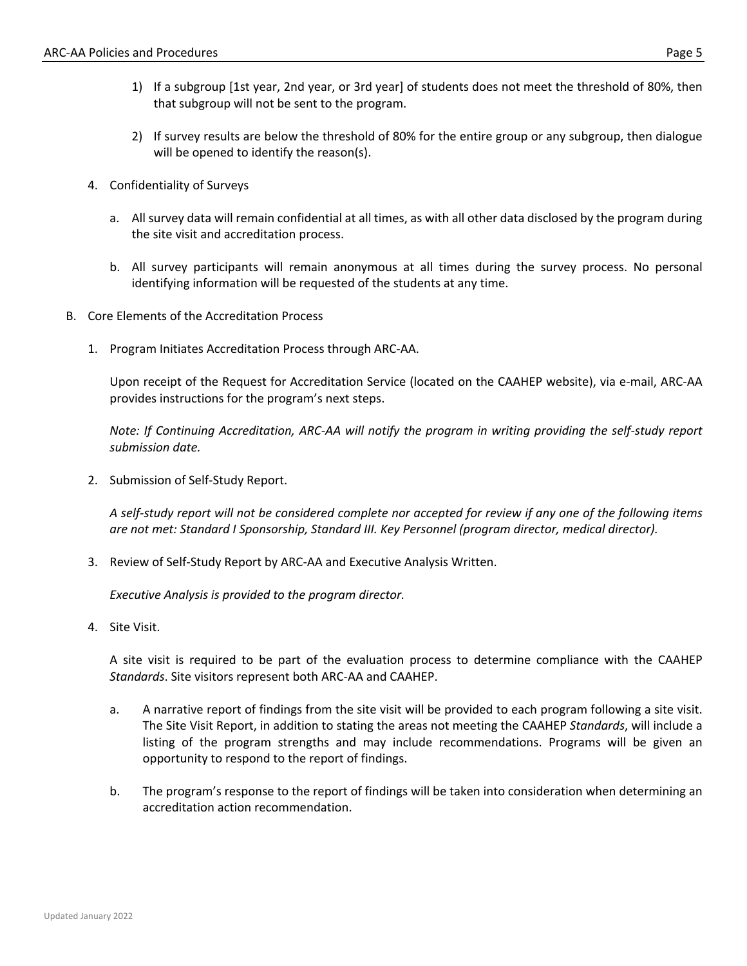- 1) If a subgroup [1st year, 2nd year, or 3rd year] of students does not meet the threshold of 80%, then that subgroup will not be sent to the program.
- 2) If survey results are below the threshold of 80% for the entire group or any subgroup, then dialogue will be opened to identify the reason(s).
- 4. Confidentiality of Surveys
	- a. All survey data will remain confidential at all times, as with all other data disclosed by the program during the site visit and accreditation process.
	- b. All survey participants will remain anonymous at all times during the survey process. No personal identifying information will be requested of the students at any time.
- B. Core Elements of the Accreditation Process
	- 1. Program Initiates Accreditation Process through ARC-AA.

Upon receipt of the Request for Accreditation Service (located on the CAAHEP website), via e-mail, ARC-AA provides instructions for the program's next steps.

*Note: If Continuing Accreditation, ARC-AA will notify the program in writing providing the self-study report submission date.* 

2. Submission of Self-Study Report.

*A self-study report will not be considered complete nor accepted for review if any one of the following items are not met: Standard I Sponsorship, Standard III. Key Personnel (program director, medical director).* 

3. Review of Self-Study Report by ARC-AA and Executive Analysis Written.

*Executive Analysis is provided to the program director.*

4. Site Visit.

A site visit is required to be part of the evaluation process to determine compliance with the CAAHEP *Standards*. Site visitors represent both ARC-AA and CAAHEP.

- a. A narrative report of findings from the site visit will be provided to each program following a site visit. The Site Visit Report, in addition to stating the areas not meeting the CAAHEP *Standards*, will include a listing of the program strengths and may include recommendations. Programs will be given an opportunity to respond to the report of findings.
- b. The program's response to the report of findings will be taken into consideration when determining an accreditation action recommendation.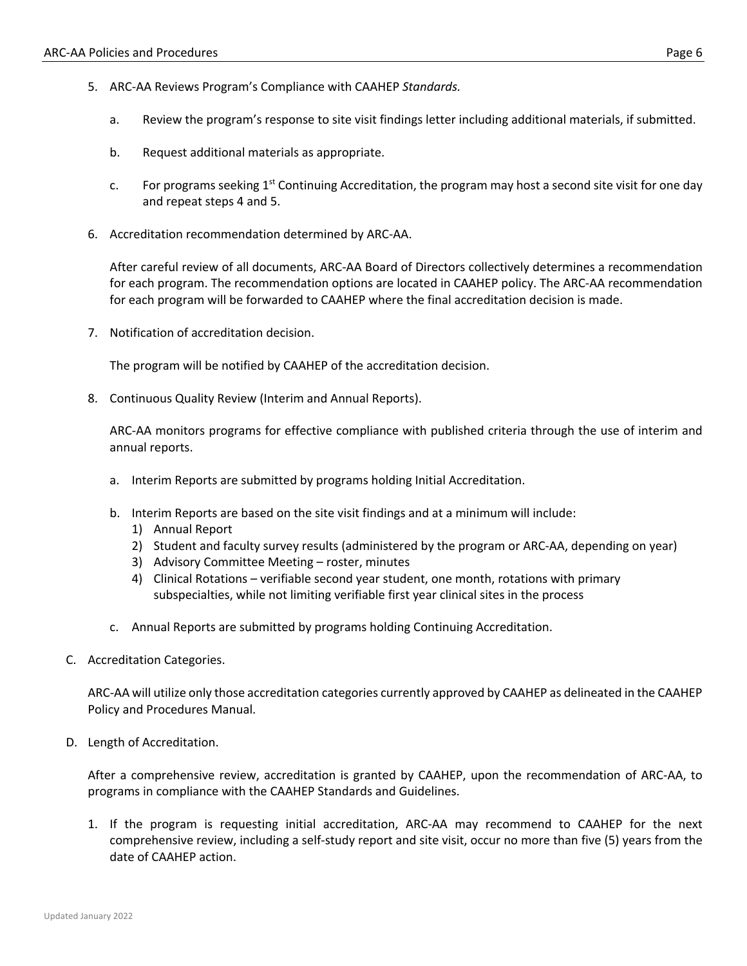- 5. ARC-AA Reviews Program's Compliance with CAAHEP *Standards.*
	- a. Review the program's response to site visit findings letter including additional materials, if submitted.
	- b. Request additional materials as appropriate.
	- c. For programs seeking  $1<sup>st</sup>$  Continuing Accreditation, the program may host a second site visit for one day and repeat steps 4 and 5.
- 6. Accreditation recommendation determined by ARC-AA.

After careful review of all documents, ARC-AA Board of Directors collectively determines a recommendation for each program. The recommendation options are located in CAAHEP policy. The ARC-AA recommendation for each program will be forwarded to CAAHEP where the final accreditation decision is made.

7. Notification of accreditation decision.

The program will be notified by CAAHEP of the accreditation decision.

8. Continuous Quality Review (Interim and Annual Reports).

ARC-AA monitors programs for effective compliance with published criteria through the use of interim and annual reports.

- a. Interim Reports are submitted by programs holding Initial Accreditation.
- b. Interim Reports are based on the site visit findings and at a minimum will include:
	- 1) Annual Report
	- 2) Student and faculty survey results (administered by the program or ARC-AA, depending on year)
	- 3) Advisory Committee Meeting roster, minutes
	- 4) Clinical Rotations verifiable second year student, one month, rotations with primary subspecialties, while not limiting verifiable first year clinical sites in the process
- c. Annual Reports are submitted by programs holding Continuing Accreditation.
- C. Accreditation Categories.

ARC-AA will utilize only those accreditation categories currently approved by CAAHEP as delineated in the CAAHEP Policy and Procedures Manual.

D. Length of Accreditation.

After a comprehensive review, accreditation is granted by CAAHEP, upon the recommendation of ARC-AA, to programs in compliance with the CAAHEP Standards and Guidelines.

1. If the program is requesting initial accreditation, ARC-AA may recommend to CAAHEP for the next comprehensive review, including a self-study report and site visit, occur no more than five (5) years from the date of CAAHEP action.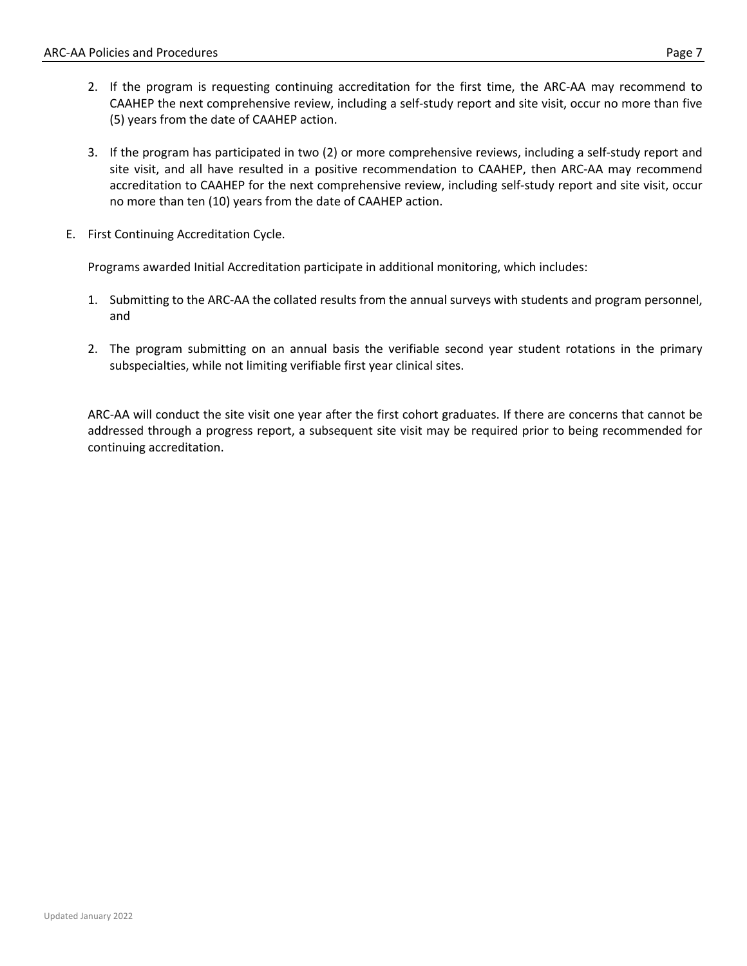- 2. If the program is requesting continuing accreditation for the first time, the ARC-AA may recommend to CAAHEP the next comprehensive review, including a self-study report and site visit, occur no more than five (5) years from the date of CAAHEP action.
- 3. If the program has participated in two (2) or more comprehensive reviews, including a self-study report and site visit, and all have resulted in a positive recommendation to CAAHEP, then ARC-AA may recommend accreditation to CAAHEP for the next comprehensive review, including self-study report and site visit, occur no more than ten (10) years from the date of CAAHEP action.
- E. First Continuing Accreditation Cycle.

Programs awarded Initial Accreditation participate in additional monitoring, which includes:

- 1. Submitting to the ARC-AA the collated results from the annual surveys with students and program personnel, and
- 2. The program submitting on an annual basis the verifiable second year student rotations in the primary subspecialties, while not limiting verifiable first year clinical sites.

ARC-AA will conduct the site visit one year after the first cohort graduates. If there are concerns that cannot be addressed through a progress report, a subsequent site visit may be required prior to being recommended for continuing accreditation.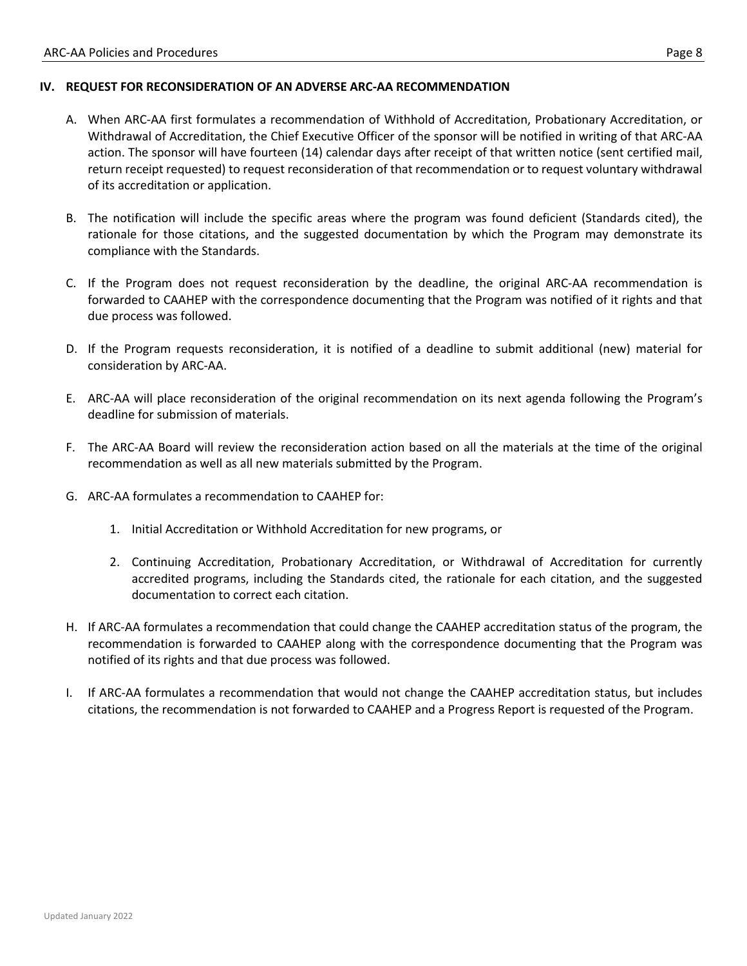#### **IV. REQUEST FOR RECONSIDERATION OF AN ADVERSE ARC-AA RECOMMENDATION**

- A. When ARC-AA first formulates a recommendation of Withhold of Accreditation, Probationary Accreditation, or Withdrawal of Accreditation, the Chief Executive Officer of the sponsor will be notified in writing of that ARC-AA action. The sponsor will have fourteen (14) calendar days after receipt of that written notice (sent certified mail, return receipt requested) to request reconsideration of that recommendation or to request voluntary withdrawal of its accreditation or application.
- B. The notification will include the specific areas where the program was found deficient (Standards cited), the rationale for those citations, and the suggested documentation by which the Program may demonstrate its compliance with the Standards.
- C. If the Program does not request reconsideration by the deadline, the original ARC-AA recommendation is forwarded to CAAHEP with the correspondence documenting that the Program was notified of it rights and that due process was followed.
- D. If the Program requests reconsideration, it is notified of a deadline to submit additional (new) material for consideration by ARC-AA.
- E. ARC-AA will place reconsideration of the original recommendation on its next agenda following the Program's deadline for submission of materials.
- F. The ARC-AA Board will review the reconsideration action based on all the materials at the time of the original recommendation as well as all new materials submitted by the Program.
- G. ARC-AA formulates a recommendation to CAAHEP for:
	- 1. Initial Accreditation or Withhold Accreditation for new programs, or
	- 2. Continuing Accreditation, Probationary Accreditation, or Withdrawal of Accreditation for currently accredited programs, including the Standards cited, the rationale for each citation, and the suggested documentation to correct each citation.
- H. If ARC-AA formulates a recommendation that could change the CAAHEP accreditation status of the program, the recommendation is forwarded to CAAHEP along with the correspondence documenting that the Program was notified of its rights and that due process was followed.
- I. If ARC-AA formulates a recommendation that would not change the CAAHEP accreditation status, but includes citations, the recommendation is not forwarded to CAAHEP and a Progress Report is requested of the Program.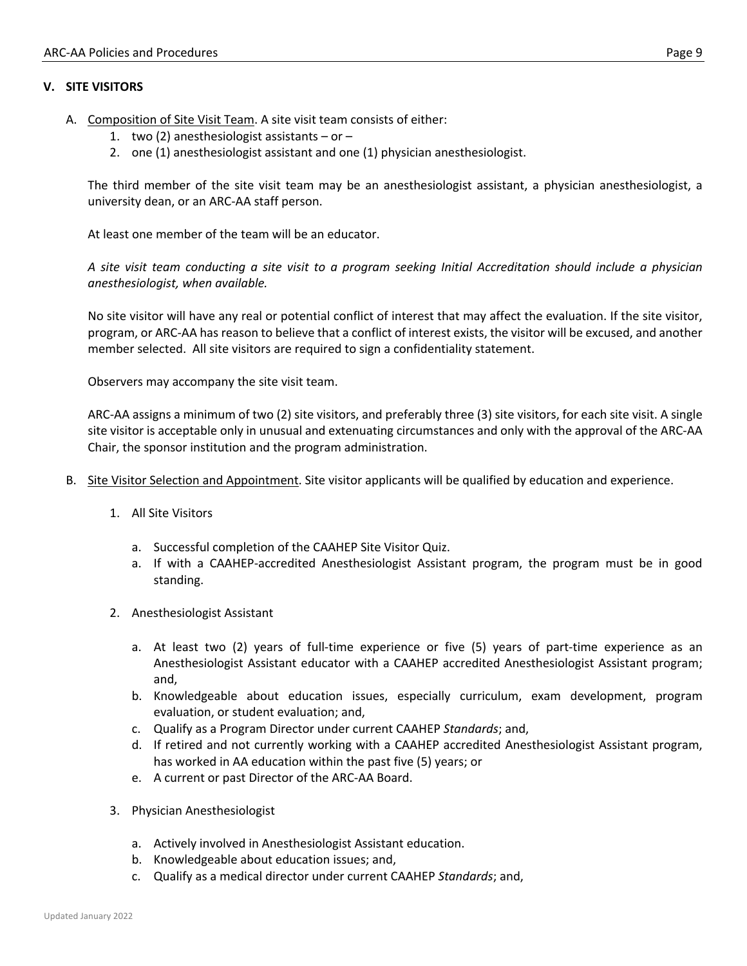#### **V. SITE VISITORS**

- A. Composition of Site Visit Team. A site visit team consists of either:
	- 1. two (2) anesthesiologist assistants or –
	- 2. one (1) anesthesiologist assistant and one (1) physician anesthesiologist.

The third member of the site visit team may be an anesthesiologist assistant, a physician anesthesiologist, a university dean, or an ARC-AA staff person.

At least one member of the team will be an educator.

*A site visit team conducting a site visit to a program seeking Initial Accreditation should include a physician anesthesiologist, when available.*

No site visitor will have any real or potential conflict of interest that may affect the evaluation. If the site visitor, program, or ARC-AA has reason to believe that a conflict of interest exists, the visitor will be excused, and another member selected. All site visitors are required to sign a confidentiality statement.

Observers may accompany the site visit team.

ARC-AA assigns a minimum of two (2) site visitors, and preferably three (3) site visitors, for each site visit. A single site visitor is acceptable only in unusual and extenuating circumstances and only with the approval of the ARC-AA Chair, the sponsor institution and the program administration.

- B. Site Visitor Selection and Appointment. Site visitor applicants will be qualified by education and experience.
	- 1. All Site Visitors
		- a. Successful completion of the CAAHEP Site Visitor Quiz.
		- a. If with a CAAHEP-accredited Anesthesiologist Assistant program, the program must be in good standing.
	- 2. Anesthesiologist Assistant
		- a. At least two (2) years of full-time experience or five (5) years of part-time experience as an Anesthesiologist Assistant educator with a CAAHEP accredited Anesthesiologist Assistant program; and,
		- b. Knowledgeable about education issues, especially curriculum, exam development, program evaluation, or student evaluation; and,
		- c. Qualify as a Program Director under current CAAHEP *Standards*; and,
		- d. If retired and not currently working with a CAAHEP accredited Anesthesiologist Assistant program, has worked in AA education within the past five (5) years; or
		- e. A current or past Director of the ARC-AA Board.
	- 3. Physician Anesthesiologist
		- a. Actively involved in Anesthesiologist Assistant education.
		- b. Knowledgeable about education issues; and,
		- c. Qualify as a medical director under current CAAHEP *Standards*; and,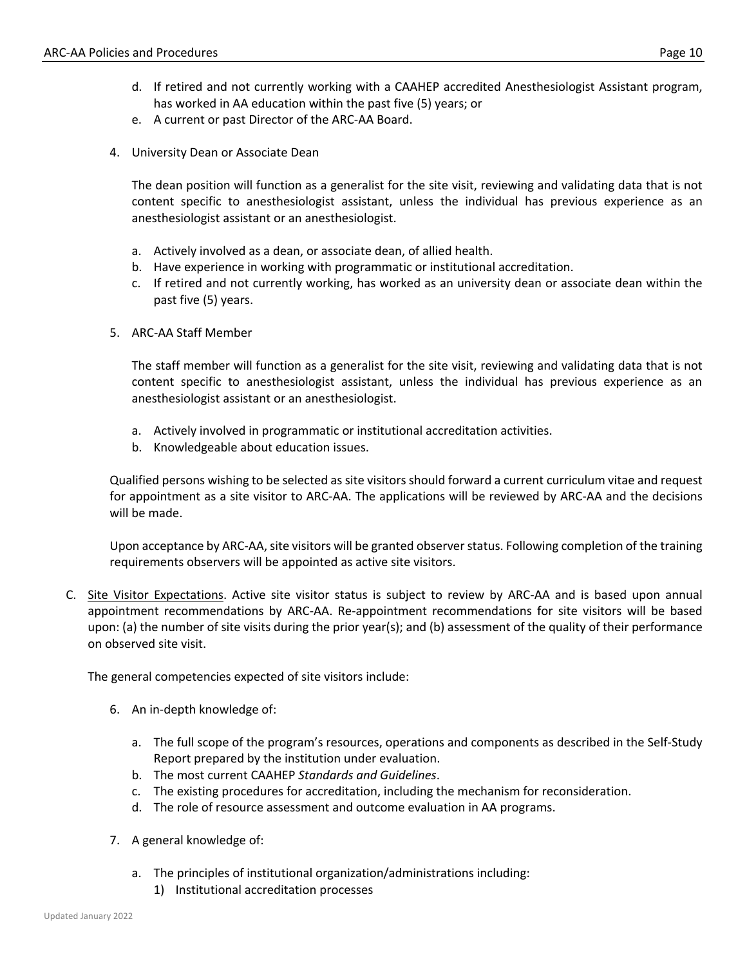- d. If retired and not currently working with a CAAHEP accredited Anesthesiologist Assistant program, has worked in AA education within the past five (5) years; or
- e. A current or past Director of the ARC-AA Board.
- 4. University Dean or Associate Dean

The dean position will function as a generalist for the site visit, reviewing and validating data that is not content specific to anesthesiologist assistant, unless the individual has previous experience as an anesthesiologist assistant or an anesthesiologist.

- a. Actively involved as a dean, or associate dean, of allied health.
- b. Have experience in working with programmatic or institutional accreditation.
- c. If retired and not currently working, has worked as an university dean or associate dean within the past five (5) years.
- 5. ARC-AA Staff Member

The staff member will function as a generalist for the site visit, reviewing and validating data that is not content specific to anesthesiologist assistant, unless the individual has previous experience as an anesthesiologist assistant or an anesthesiologist.

- a. Actively involved in programmatic or institutional accreditation activities.
- b. Knowledgeable about education issues.

Qualified persons wishing to be selected as site visitors should forward a current curriculum vitae and request for appointment as a site visitor to ARC-AA. The applications will be reviewed by ARC-AA and the decisions will be made.

Upon acceptance by ARC-AA, site visitors will be granted observer status. Following completion of the training requirements observers will be appointed as active site visitors.

C. Site Visitor Expectations. Active site visitor status is subject to review by ARC-AA and is based upon annual appointment recommendations by ARC-AA. Re-appointment recommendations for site visitors will be based upon: (a) the number of site visits during the prior year(s); and (b) assessment of the quality of their performance on observed site visit.

The general competencies expected of site visitors include:

- 6. An in-depth knowledge of:
	- a. The full scope of the program's resources, operations and components as described in the Self-Study Report prepared by the institution under evaluation.
	- b. The most current CAAHEP *Standards and Guidelines*.
	- c. The existing procedures for accreditation, including the mechanism for reconsideration.
	- d. The role of resource assessment and outcome evaluation in AA programs.
- 7. A general knowledge of:
	- a. The principles of institutional organization/administrations including:
		- 1) Institutional accreditation processes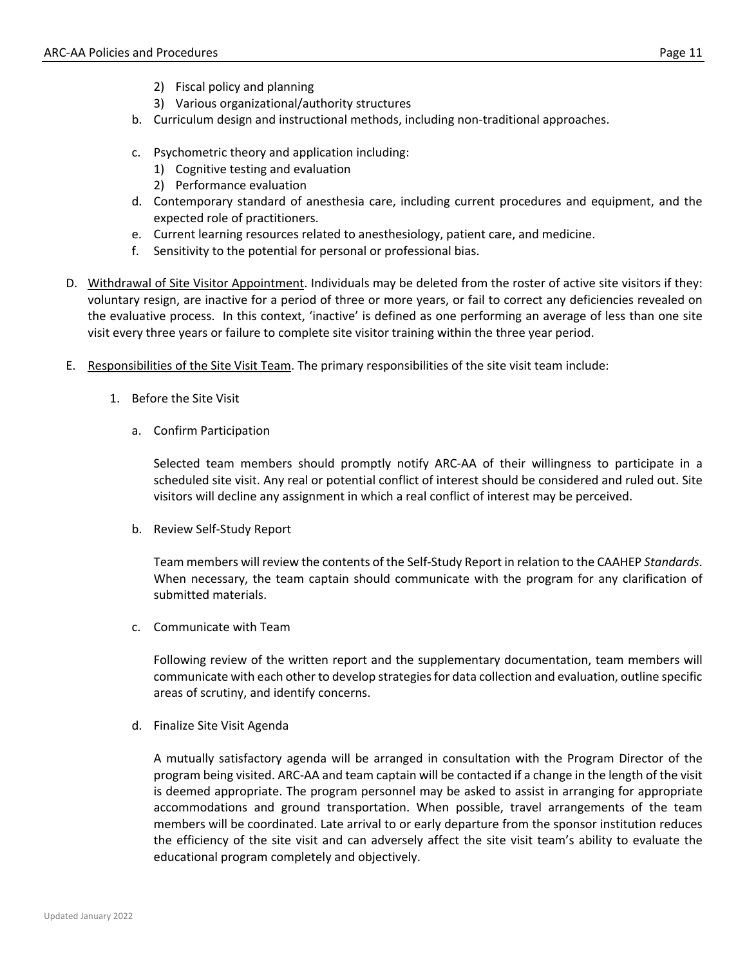- 2) Fiscal policy and planning
- 3) Various organizational/authority structures
- b. Curriculum design and instructional methods, including non-traditional approaches.
- c. Psychometric theory and application including:
	- 1) Cognitive testing and evaluation
	- 2) Performance evaluation
- d. Contemporary standard of anesthesia care, including current procedures and equipment, and the expected role of practitioners.
- e. Current learning resources related to anesthesiology, patient care, and medicine.
- f. Sensitivity to the potential for personal or professional bias.
- D. Withdrawal of Site Visitor Appointment. Individuals may be deleted from the roster of active site visitors if they: voluntary resign, are inactive for a period of three or more years, or fail to correct any deficiencies revealed on the evaluative process. In this context, 'inactive' is defined as one performing an average of less than one site visit every three years or failure to complete site visitor training within the three year period.
- E. Responsibilities of the Site Visit Team. The primary responsibilities of the site visit team include:
	- 1. Before the Site Visit
		- a. Confirm Participation

Selected team members should promptly notify ARC-AA of their willingness to participate in a scheduled site visit. Any real or potential conflict of interest should be considered and ruled out. Site visitors will decline any assignment in which a real conflict of interest may be perceived.

b. Review Self-Study Report

Team members will review the contents of the Self-Study Report in relation to the CAAHEP *Standards*. When necessary, the team captain should communicate with the program for any clarification of submitted materials.

c. Communicate with Team

Following review of the written report and the supplementary documentation, team members will communicate with each other to develop strategies for data collection and evaluation, outline specific areas of scrutiny, and identify concerns.

d. Finalize Site Visit Agenda

A mutually satisfactory agenda will be arranged in consultation with the Program Director of the program being visited. ARC-AA and team captain will be contacted if a change in the length of the visit is deemed appropriate. The program personnel may be asked to assist in arranging for appropriate accommodations and ground transportation. When possible, travel arrangements of the team members will be coordinated. Late arrival to or early departure from the sponsor institution reduces the efficiency of the site visit and can adversely affect the site visit team's ability to evaluate the educational program completely and objectively.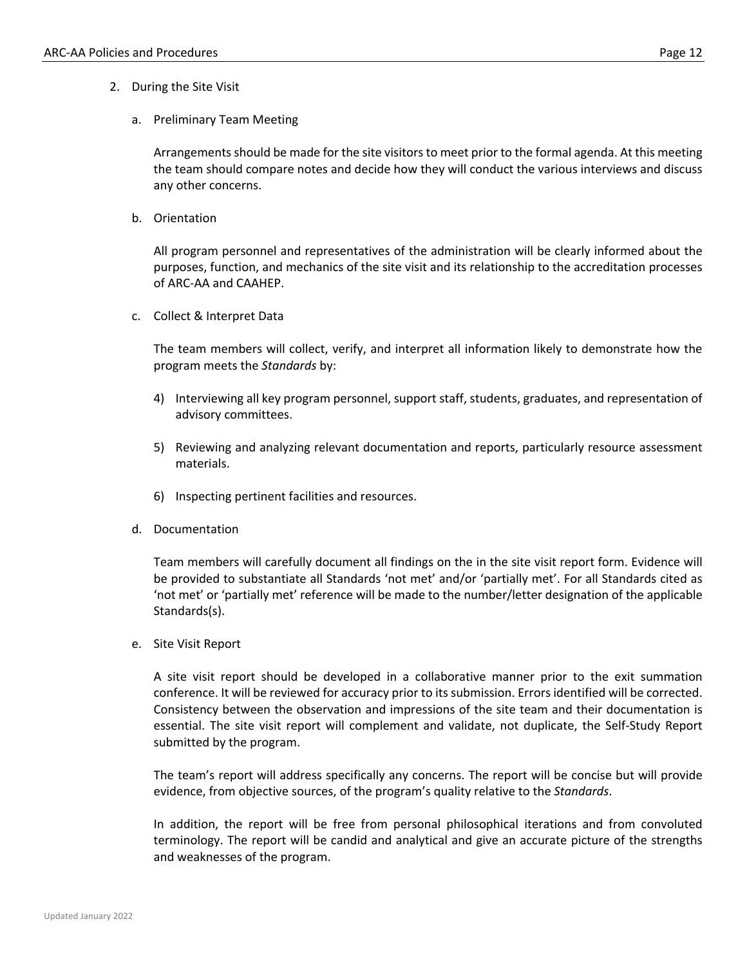- 2. During the Site Visit
	- a. Preliminary Team Meeting

Arrangements should be made for the site visitors to meet prior to the formal agenda. At this meeting the team should compare notes and decide how they will conduct the various interviews and discuss any other concerns.

b. Orientation

All program personnel and representatives of the administration will be clearly informed about the purposes, function, and mechanics of the site visit and its relationship to the accreditation processes of ARC-AA and CAAHEP.

c. Collect & Interpret Data

The team members will collect, verify, and interpret all information likely to demonstrate how the program meets the *Standards* by:

- 4) Interviewing all key program personnel, support staff, students, graduates, and representation of advisory committees.
- 5) Reviewing and analyzing relevant documentation and reports, particularly resource assessment materials.
- 6) Inspecting pertinent facilities and resources.
- d. Documentation

Team members will carefully document all findings on the in the site visit report form. Evidence will be provided to substantiate all Standards 'not met' and/or 'partially met'. For all Standards cited as 'not met' or 'partially met' reference will be made to the number/letter designation of the applicable Standards(s).

e. Site Visit Report

A site visit report should be developed in a collaborative manner prior to the exit summation conference. It will be reviewed for accuracy prior to its submission. Errors identified will be corrected. Consistency between the observation and impressions of the site team and their documentation is essential. The site visit report will complement and validate, not duplicate, the Self-Study Report submitted by the program.

The team's report will address specifically any concerns. The report will be concise but will provide evidence, from objective sources, of the program's quality relative to the *Standards*.

In addition, the report will be free from personal philosophical iterations and from convoluted terminology. The report will be candid and analytical and give an accurate picture of the strengths and weaknesses of the program.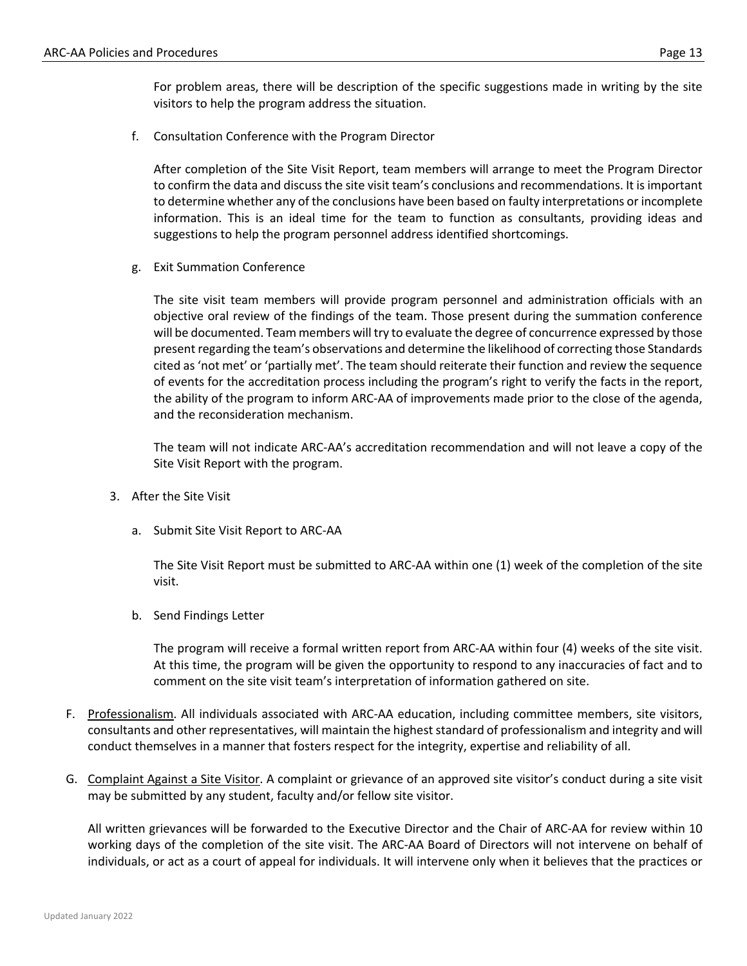For problem areas, there will be description of the specific suggestions made in writing by the site visitors to help the program address the situation.

f. Consultation Conference with the Program Director

After completion of the Site Visit Report, team members will arrange to meet the Program Director to confirm the data and discuss the site visit team's conclusions and recommendations. It is important to determine whether any of the conclusions have been based on faulty interpretations or incomplete information. This is an ideal time for the team to function as consultants, providing ideas and suggestions to help the program personnel address identified shortcomings.

g. Exit Summation Conference

The site visit team members will provide program personnel and administration officials with an objective oral review of the findings of the team. Those present during the summation conference will be documented. Team members will try to evaluate the degree of concurrence expressed by those present regarding the team's observations and determine the likelihood of correcting those Standards cited as 'not met' or 'partially met'. The team should reiterate their function and review the sequence of events for the accreditation process including the program's right to verify the facts in the report, the ability of the program to inform ARC-AA of improvements made prior to the close of the agenda, and the reconsideration mechanism.

The team will not indicate ARC-AA's accreditation recommendation and will not leave a copy of the Site Visit Report with the program.

- 3. After the Site Visit
	- a. Submit Site Visit Report to ARC-AA

The Site Visit Report must be submitted to ARC-AA within one (1) week of the completion of the site visit.

b. Send Findings Letter

The program will receive a formal written report from ARC-AA within four (4) weeks of the site visit. At this time, the program will be given the opportunity to respond to any inaccuracies of fact and to comment on the site visit team's interpretation of information gathered on site.

- F. Professionalism. All individuals associated with ARC-AA education, including committee members, site visitors, consultants and other representatives, will maintain the highest standard of professionalism and integrity and will conduct themselves in a manner that fosters respect for the integrity, expertise and reliability of all.
- G. Complaint Against a Site Visitor. A complaint or grievance of an approved site visitor's conduct during a site visit may be submitted by any student, faculty and/or fellow site visitor.

All written grievances will be forwarded to the Executive Director and the Chair of ARC-AA for review within 10 working days of the completion of the site visit. The ARC-AA Board of Directors will not intervene on behalf of individuals, or act as a court of appeal for individuals. It will intervene only when it believes that the practices or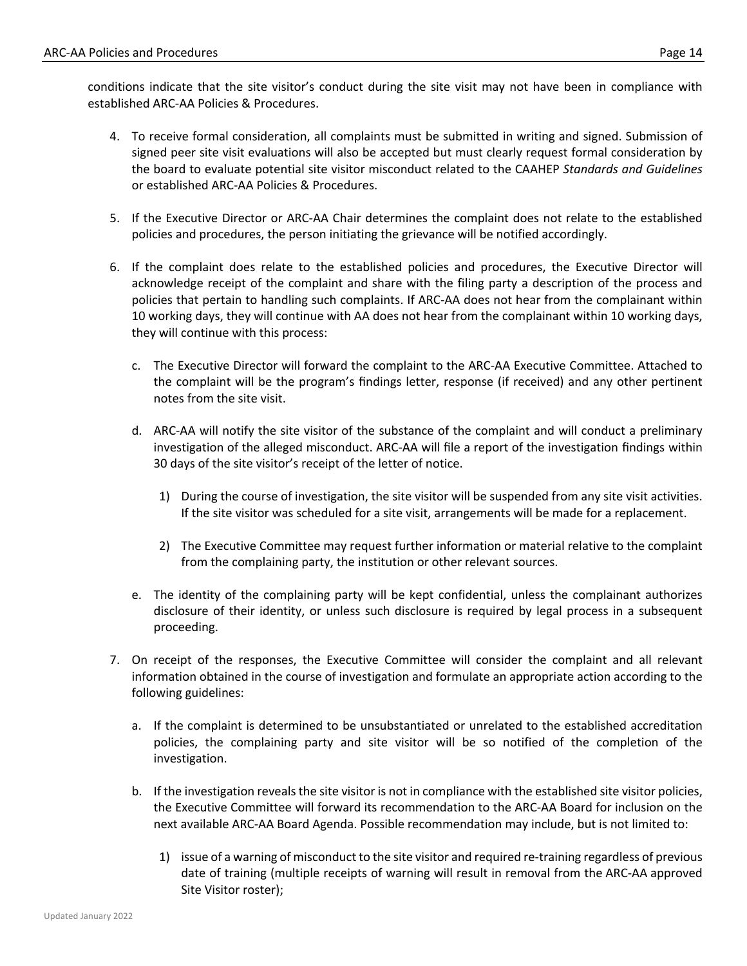- 4. To receive formal consideration, all complaints must be submitted in writing and signed. Submission of signed peer site visit evaluations will also be accepted but must clearly request formal consideration by the board to evaluate potential site visitor misconduct related to the CAAHEP *Standards and Guidelines* or established ARC-AA Policies & Procedures.
- 5. If the Executive Director or ARC-AA Chair determines the complaint does not relate to the established policies and procedures, the person initiating the grievance will be notified accordingly.
- 6. If the complaint does relate to the established policies and procedures, the Executive Director will acknowledge receipt of the complaint and share with the filing party a description of the process and policies that pertain to handling such complaints. If ARC-AA does not hear from the complainant within 10 working days, they will continue with AA does not hear from the complainant within 10 working days, they will continue with this process:
	- c. The Executive Director will forward the complaint to the ARC-AA Executive Committee. Attached to the complaint will be the program's findings letter, response (if received) and any other pertinent notes from the site visit.
	- d. ARC-AA will notify the site visitor of the substance of the complaint and will conduct a preliminary investigation of the alleged misconduct. ARC-AA will file a report of the investigation findings within 30 days of the site visitor's receipt of the letter of notice.
		- 1) During the course of investigation, the site visitor will be suspended from any site visit activities. If the site visitor was scheduled for a site visit, arrangements will be made for a replacement.
		- 2) The Executive Committee may request further information or material relative to the complaint from the complaining party, the institution or other relevant sources.
	- e. The identity of the complaining party will be kept confidential, unless the complainant authorizes disclosure of their identity, or unless such disclosure is required by legal process in a subsequent proceeding.
- 7. On receipt of the responses, the Executive Committee will consider the complaint and all relevant information obtained in the course of investigation and formulate an appropriate action according to the following guidelines:
	- a. If the complaint is determined to be unsubstantiated or unrelated to the established accreditation policies, the complaining party and site visitor will be so notified of the completion of the investigation.
	- b. If the investigation reveals the site visitor is not in compliance with the established site visitor policies, the Executive Committee will forward its recommendation to the ARC-AA Board for inclusion on the next available ARC-AA Board Agenda. Possible recommendation may include, but is not limited to:
		- 1) issue of a warning of misconduct to the site visitor and required re-training regardless of previous date of training (multiple receipts of warning will result in removal from the ARC-AA approved Site Visitor roster);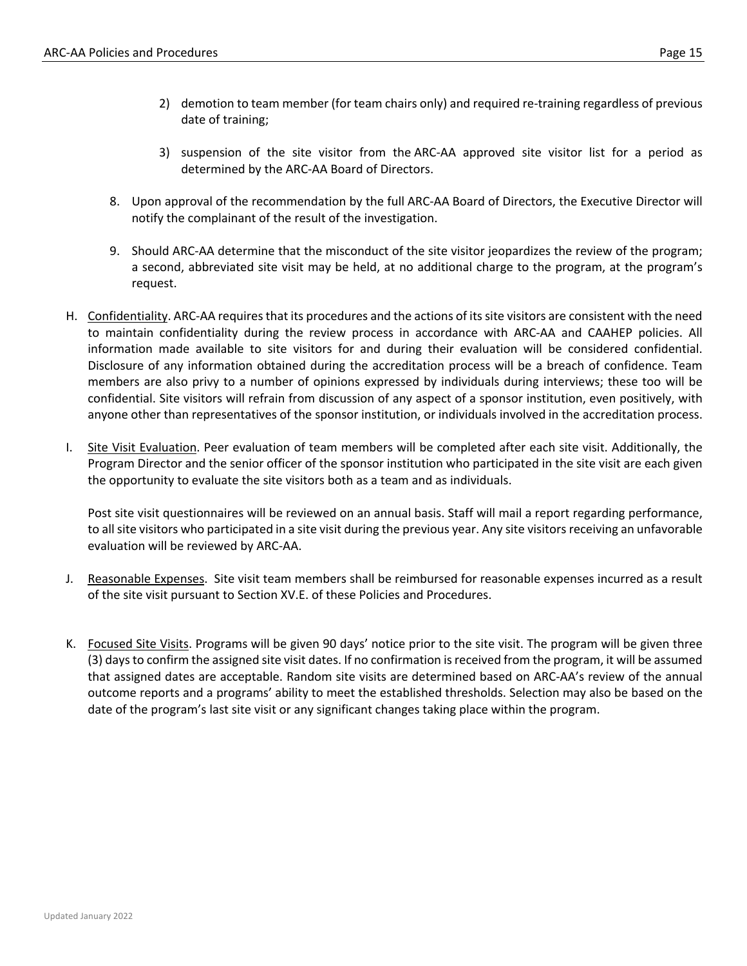- 2) demotion to team member (for team chairs only) and required re-training regardless of previous date of training;
- 3) suspension of the site visitor from the ARC-AA approved site visitor list for a period as determined by the ARC-AA Board of Directors.
- 8. Upon approval of the recommendation by the full ARC-AA Board of Directors, the Executive Director will notify the complainant of the result of the investigation.
- 9. Should ARC-AA determine that the misconduct of the site visitor jeopardizes the review of the program; a second, abbreviated site visit may be held, at no additional charge to the program, at the program's request.
- H. Confidentiality. ARC-AA requires that its procedures and the actions of its site visitors are consistent with the need to maintain confidentiality during the review process in accordance with ARC-AA and CAAHEP policies. All information made available to site visitors for and during their evaluation will be considered confidential. Disclosure of any information obtained during the accreditation process will be a breach of confidence. Team members are also privy to a number of opinions expressed by individuals during interviews; these too will be confidential. Site visitors will refrain from discussion of any aspect of a sponsor institution, even positively, with anyone other than representatives of the sponsor institution, or individuals involved in the accreditation process.
- I. Site Visit Evaluation. Peer evaluation of team members will be completed after each site visit. Additionally, the Program Director and the senior officer of the sponsor institution who participated in the site visit are each given the opportunity to evaluate the site visitors both as a team and as individuals.

Post site visit questionnaires will be reviewed on an annual basis. Staff will mail a report regarding performance, to all site visitors who participated in a site visit during the previous year. Any site visitors receiving an unfavorable evaluation will be reviewed by ARC-AA.

- J. Reasonable Expenses. Site visit team members shall be reimbursed for reasonable expenses incurred as a result of the site visit pursuant to Section XV.E. of these Policies and Procedures.
- K. Focused Site Visits. Programs will be given 90 days' notice prior to the site visit. The program will be given three (3) days to confirm the assigned site visit dates. If no confirmation is received from the program, it will be assumed that assigned dates are acceptable. Random site visits are determined based on ARC-AA's review of the annual outcome reports and a programs' ability to meet the established thresholds. Selection may also be based on the date of the program's last site visit or any significant changes taking place within the program.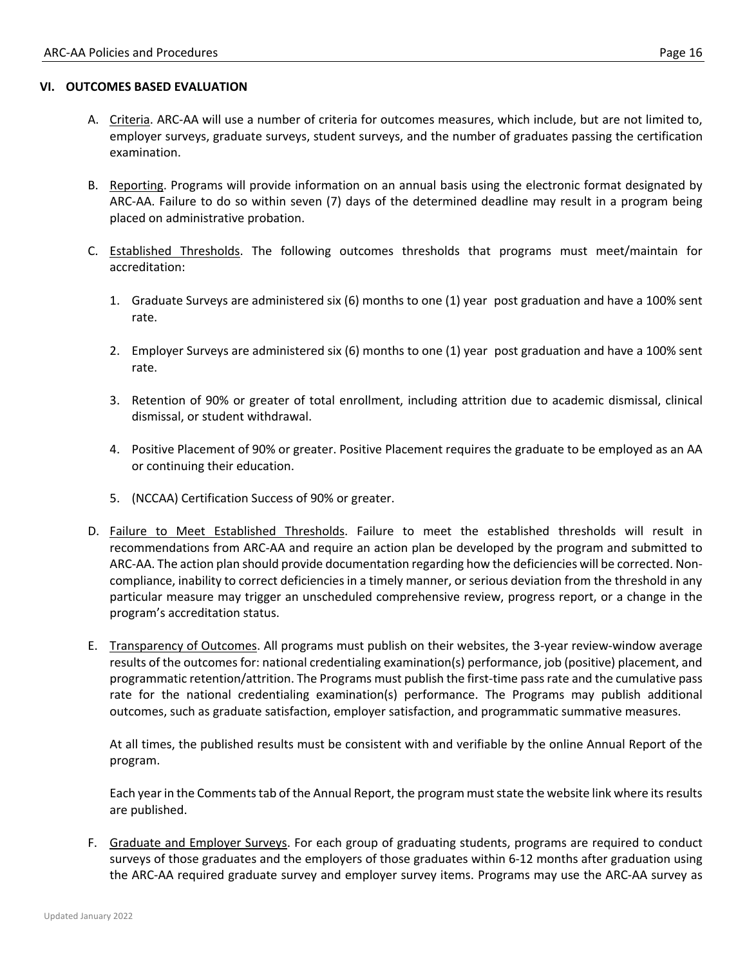#### **VI. OUTCOMES BASED EVALUATION**

- A. Criteria. ARC-AA will use a number of criteria for outcomes measures, which include, but are not limited to, employer surveys, graduate surveys, student surveys, and the number of graduates passing the certification examination.
- B. Reporting. Programs will provide information on an annual basis using the electronic format designated by ARC-AA. Failure to do so within seven (7) days of the determined deadline may result in a program being placed on administrative probation.
- C. Established Thresholds. The following outcomes thresholds that programs must meet/maintain for accreditation:
	- 1. Graduate Surveys are administered six (6) months to one (1) year post graduation and have a 100% sent rate.
	- 2. Employer Surveys are administered six (6) months to one (1) year post graduation and have a 100% sent rate.
	- 3. Retention of 90% or greater of total enrollment, including attrition due to academic dismissal, clinical dismissal, or student withdrawal.
	- 4. Positive Placement of 90% or greater. Positive Placement requires the graduate to be employed as an AA or continuing their education.
	- 5. (NCCAA) Certification Success of 90% or greater.
- D. Failure to Meet Established Thresholds. Failure to meet the established thresholds will result in recommendations from ARC-AA and require an action plan be developed by the program and submitted to ARC-AA. The action plan should provide documentation regarding how the deficiencies will be corrected. Noncompliance, inability to correct deficiencies in a timely manner, or serious deviation from the threshold in any particular measure may trigger an unscheduled comprehensive review, progress report, or a change in the program's accreditation status.
- E. Transparency of Outcomes. All programs must publish on their websites, the 3-year review-window average results of the outcomes for: national credentialing examination(s) performance, job (positive) placement, and programmatic retention/attrition. The Programs must publish the first-time pass rate and the cumulative pass rate for the national credentialing examination(s) performance. The Programs may publish additional outcomes, such as graduate satisfaction, employer satisfaction, and programmatic summative measures.

At all times, the published results must be consistent with and verifiable by the online Annual Report of the program.

Each year in the Comments tab of the Annual Report, the program must state the website link where its results are published.

F. Graduate and Employer Surveys. For each group of graduating students, programs are required to conduct surveys of those graduates and the employers of those graduates within 6-12 months after graduation using the ARC-AA required graduate survey and employer survey items. Programs may use the ARC-AA survey as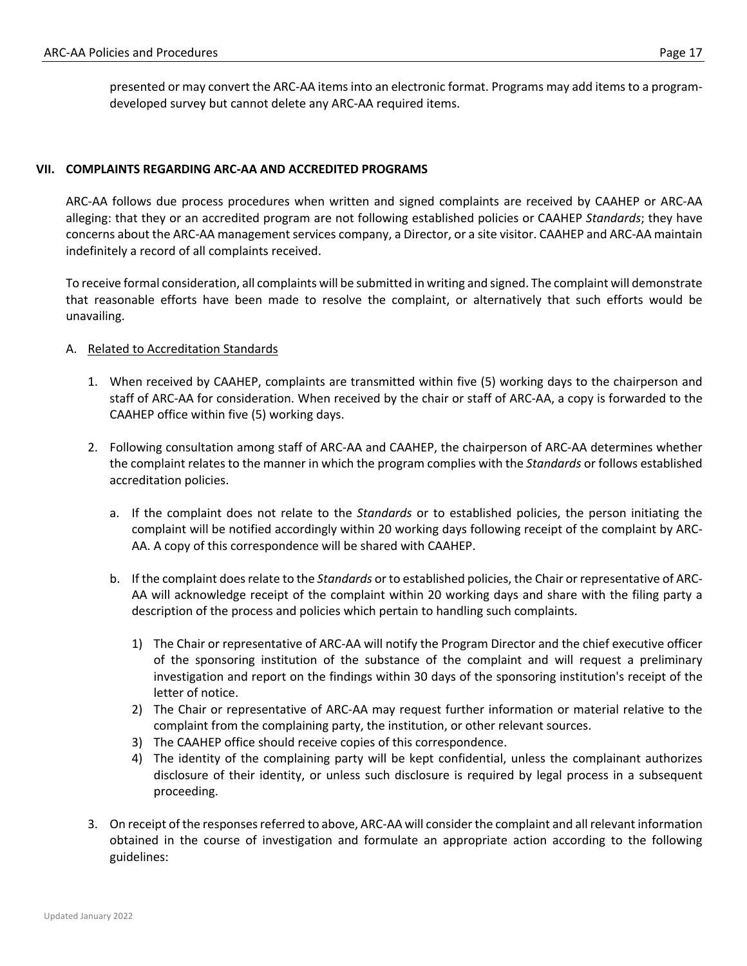#### **VII. COMPLAINTS REGARDING ARC-AA AND ACCREDITED PROGRAMS**

ARC-AA follows due process procedures when written and signed complaints are received by CAAHEP or ARC-AA alleging: that they or an accredited program are not following established policies or CAAHEP *Standards*; they have concerns about the ARC-AA management services company, a Director, or a site visitor. CAAHEP and ARC-AA maintain indefinitely a record of all complaints received.

To receive formal consideration, all complaints will be submitted in writing and signed. The complaint will demonstrate that reasonable efforts have been made to resolve the complaint, or alternatively that such efforts would be unavailing.

### A. Related to Accreditation Standards

- 1. When received by CAAHEP, complaints are transmitted within five (5) working days to the chairperson and staff of ARC-AA for consideration. When received by the chair or staff of ARC-AA, a copy is forwarded to the CAAHEP office within five (5) working days.
- 2. Following consultation among staff of ARC-AA and CAAHEP, the chairperson of ARC-AA determines whether the complaint relates to the manner in which the program complies with the *Standards* or follows established accreditation policies.
	- a. If the complaint does not relate to the *Standards* or to established policies, the person initiating the complaint will be notified accordingly within 20 working days following receipt of the complaint by ARC-AA. A copy of this correspondence will be shared with CAAHEP.
	- b. If the complaint does relate to the *Standards* or to established policies, the Chair or representative of ARC-AA will acknowledge receipt of the complaint within 20 working days and share with the filing party a description of the process and policies which pertain to handling such complaints.
		- 1) The Chair or representative of ARC-AA will notify the Program Director and the chief executive officer of the sponsoring institution of the substance of the complaint and will request a preliminary investigation and report on the findings within 30 days of the sponsoring institution's receipt of the letter of notice.
		- 2) The Chair or representative of ARC-AA may request further information or material relative to the complaint from the complaining party, the institution, or other relevant sources.
		- 3) The CAAHEP office should receive copies of this correspondence.
		- 4) The identity of the complaining party will be kept confidential, unless the complainant authorizes disclosure of their identity, or unless such disclosure is required by legal process in a subsequent proceeding.
- 3. On receipt of the responses referred to above, ARC-AA will consider the complaint and all relevant information obtained in the course of investigation and formulate an appropriate action according to the following guidelines: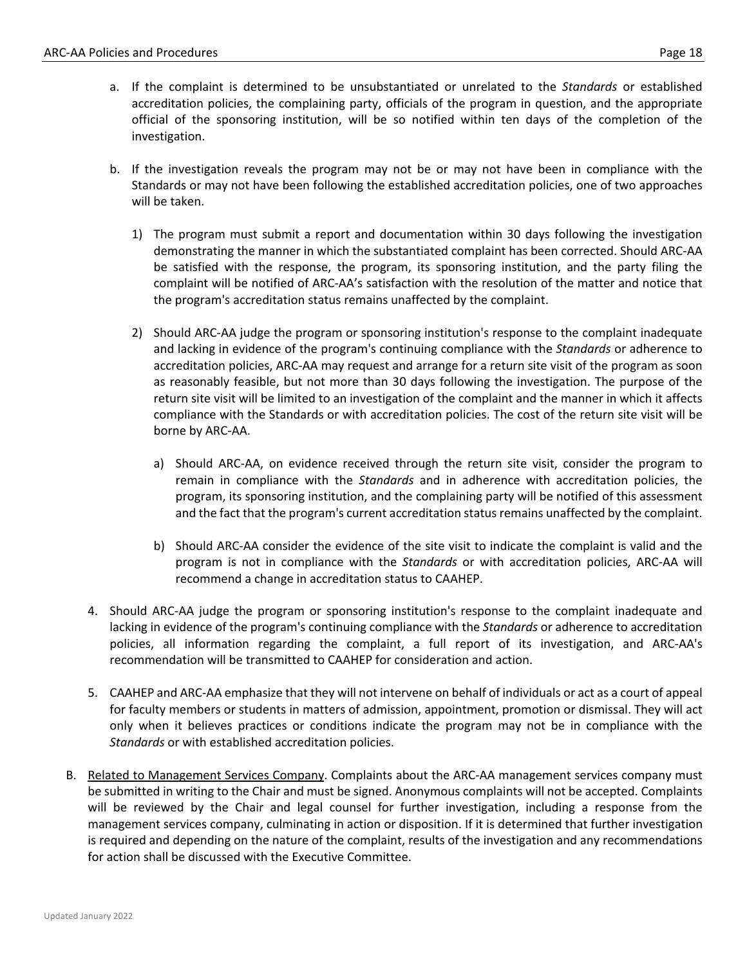- a. If the complaint is determined to be unsubstantiated or unrelated to the *Standards* or established accreditation policies, the complaining party, officials of the program in question, and the appropriate official of the sponsoring institution, will be so notified within ten days of the completion of the investigation.
- b. If the investigation reveals the program may not be or may not have been in compliance with the Standards or may not have been following the established accreditation policies, one of two approaches will be taken.
	- 1) The program must submit a report and documentation within 30 days following the investigation demonstrating the manner in which the substantiated complaint has been corrected. Should ARC-AA be satisfied with the response, the program, its sponsoring institution, and the party filing the complaint will be notified of ARC-AA's satisfaction with the resolution of the matter and notice that the program's accreditation status remains unaffected by the complaint.
	- 2) Should ARC-AA judge the program or sponsoring institution's response to the complaint inadequate and lacking in evidence of the program's continuing compliance with the *Standards* or adherence to accreditation policies, ARC-AA may request and arrange for a return site visit of the program as soon as reasonably feasible, but not more than 30 days following the investigation. The purpose of the return site visit will be limited to an investigation of the complaint and the manner in which it affects compliance with the Standards or with accreditation policies. The cost of the return site visit will be borne by ARC-AA.
		- a) Should ARC-AA, on evidence received through the return site visit, consider the program to remain in compliance with the *Standards* and in adherence with accreditation policies, the program, its sponsoring institution, and the complaining party will be notified of this assessment and the fact that the program's current accreditation status remains unaffected by the complaint.
		- b) Should ARC-AA consider the evidence of the site visit to indicate the complaint is valid and the program is not in compliance with the *Standards* or with accreditation policies, ARC-AA will recommend a change in accreditation status to CAAHEP.
- 4. Should ARC-AA judge the program or sponsoring institution's response to the complaint inadequate and lacking in evidence of the program's continuing compliance with the *Standards* or adherence to accreditation policies, all information regarding the complaint, a full report of its investigation, and ARC-AA's recommendation will be transmitted to CAAHEP for consideration and action.
- 5. CAAHEP and ARC-AA emphasize that they will not intervene on behalf of individuals or act as a court of appeal for faculty members or students in matters of admission, appointment, promotion or dismissal. They will act only when it believes practices or conditions indicate the program may not be in compliance with the *Standards* or with established accreditation policies.
- B. Related to Management Services Company. Complaints about the ARC-AA management services company must be submitted in writing to the Chair and must be signed. Anonymous complaints will not be accepted. Complaints will be reviewed by the Chair and legal counsel for further investigation, including a response from the management services company, culminating in action or disposition. If it is determined that further investigation is required and depending on the nature of the complaint, results of the investigation and any recommendations for action shall be discussed with the Executive Committee.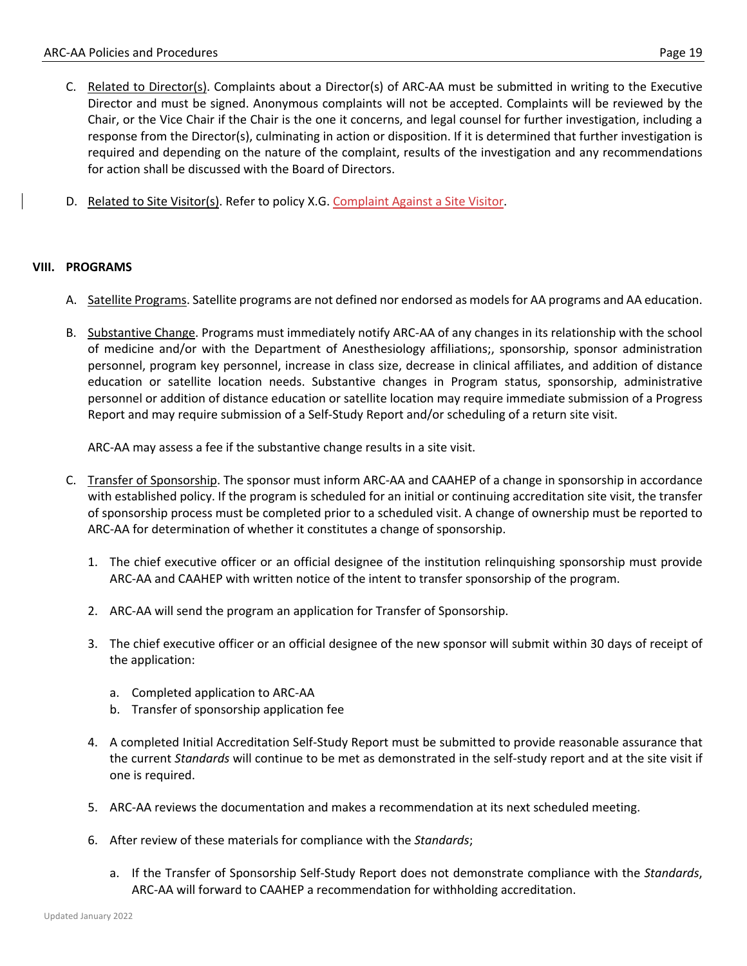- C. Related to Director(s). Complaints about a Director(s) of ARC-AA must be submitted in writing to the Executive Director and must be signed. Anonymous complaints will not be accepted. Complaints will be reviewed by the Chair, or the Vice Chair if the Chair is the one it concerns, and legal counsel for further investigation, including a response from the Director(s), culminating in action or disposition. If it is determined that further investigation is required and depending on the nature of the complaint, results of the investigation and any recommendations for action shall be discussed with the Board of Directors.
- D. Related to Site Visitor(s). Refer to policy X.G. Complaint Against a Site Visitor.

#### **VIII. PROGRAMS**

- A. Satellite Programs. Satellite programs are not defined nor endorsed as models for AA programs and AA education.
- B. Substantive Change. Programs must immediately notify ARC-AA of any changes in its relationship with the school of medicine and/or with the Department of Anesthesiology affiliations;, sponsorship, sponsor administration personnel, program key personnel, increase in class size, decrease in clinical affiliates, and addition of distance education or satellite location needs. Substantive changes in Program status, sponsorship, administrative personnel or addition of distance education or satellite location may require immediate submission of a Progress Report and may require submission of a Self-Study Report and/or scheduling of a return site visit.

ARC-AA may assess a fee if the substantive change results in a site visit.

- C. Transfer of Sponsorship. The sponsor must inform ARC-AA and CAAHEP of a change in sponsorship in accordance with established policy. If the program is scheduled for an initial or continuing accreditation site visit, the transfer of sponsorship process must be completed prior to a scheduled visit. A change of ownership must be reported to ARC-AA for determination of whether it constitutes a change of sponsorship.
	- 1. The chief executive officer or an official designee of the institution relinquishing sponsorship must provide ARC-AA and CAAHEP with written notice of the intent to transfer sponsorship of the program.
	- 2. ARC-AA will send the program an application for Transfer of Sponsorship.
	- 3. The chief executive officer or an official designee of the new sponsor will submit within 30 days of receipt of the application:
		- a. Completed application to ARC-AA
		- b. Transfer of sponsorship application fee
	- 4. A completed Initial Accreditation Self-Study Report must be submitted to provide reasonable assurance that the current *Standards* will continue to be met as demonstrated in the self-study report and at the site visit if one is required.
	- 5. ARC-AA reviews the documentation and makes a recommendation at its next scheduled meeting.
	- 6. After review of these materials for compliance with the *Standards*;
		- a. If the Transfer of Sponsorship Self-Study Report does not demonstrate compliance with the *Standards*, ARC-AA will forward to CAAHEP a recommendation for withholding accreditation.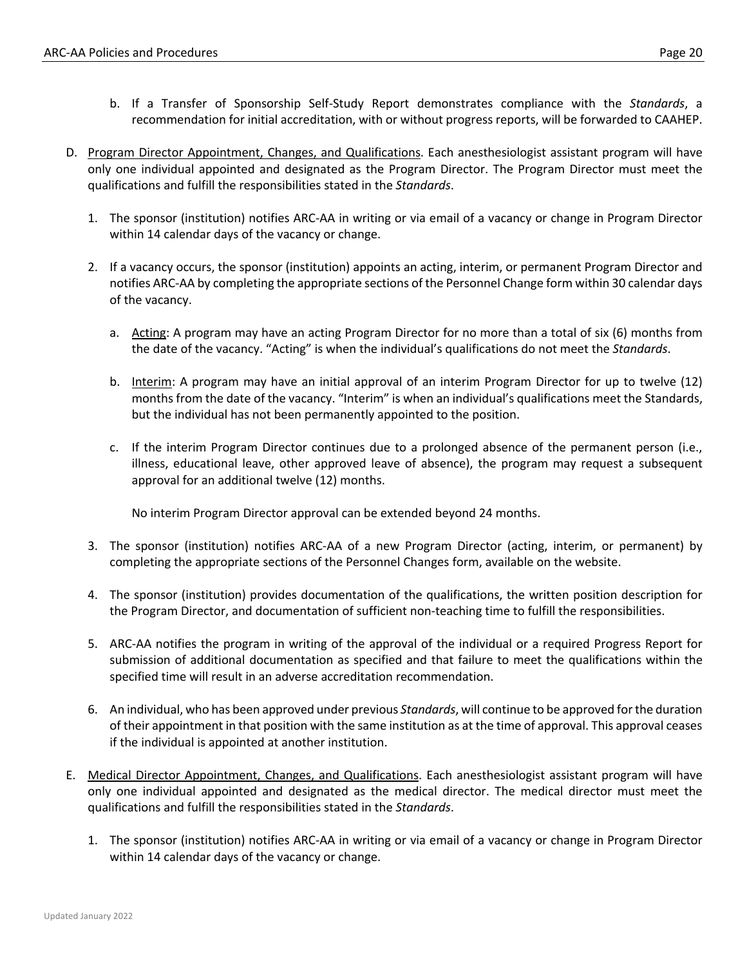- b. If a Transfer of Sponsorship Self-Study Report demonstrates compliance with the *Standards*, a recommendation for initial accreditation, with or without progress reports, will be forwarded to CAAHEP.
- D. Program Director Appointment, Changes, and Qualifications. Each anesthesiologist assistant program will have only one individual appointed and designated as the Program Director. The Program Director must meet the qualifications and fulfill the responsibilities stated in the *Standards*.
	- 1. The sponsor (institution) notifies ARC-AA in writing or via email of a vacancy or change in Program Director within 14 calendar days of the vacancy or change.
	- 2. If a vacancy occurs, the sponsor (institution) appoints an acting, interim, or permanent Program Director and notifies ARC-AA by completing the appropriate sections of the Personnel Change form within 30 calendar days of the vacancy.
		- a. Acting: A program may have an acting Program Director for no more than a total of six (6) months from the date of the vacancy. "Acting" is when the individual's qualifications do not meet the *Standards*.
		- b. Interim: A program may have an initial approval of an interim Program Director for up to twelve (12) months from the date of the vacancy. "Interim" is when an individual's qualifications meet the Standards, but the individual has not been permanently appointed to the position.
		- c. If the interim Program Director continues due to a prolonged absence of the permanent person (i.e., illness, educational leave, other approved leave of absence), the program may request a subsequent approval for an additional twelve (12) months.

No interim Program Director approval can be extended beyond 24 months.

- 3. The sponsor (institution) notifies ARC-AA of a new Program Director (acting, interim, or permanent) by completing the appropriate sections of the Personnel Changes form, available on the website.
- 4. The sponsor (institution) provides documentation of the qualifications, the written position description for the Program Director, and documentation of sufficient non-teaching time to fulfill the responsibilities.
- 5. ARC-AA notifies the program in writing of the approval of the individual or a required Progress Report for submission of additional documentation as specified and that failure to meet the qualifications within the specified time will result in an adverse accreditation recommendation.
- 6. An individual, who has been approved under previous *Standards*, will continue to be approved for the duration of their appointment in that position with the same institution as at the time of approval. This approval ceases if the individual is appointed at another institution.
- E. Medical Director Appointment, Changes, and Qualifications. Each anesthesiologist assistant program will have only one individual appointed and designated as the medical director. The medical director must meet the qualifications and fulfill the responsibilities stated in the *Standards*.
	- 1. The sponsor (institution) notifies ARC-AA in writing or via email of a vacancy or change in Program Director within 14 calendar days of the vacancy or change.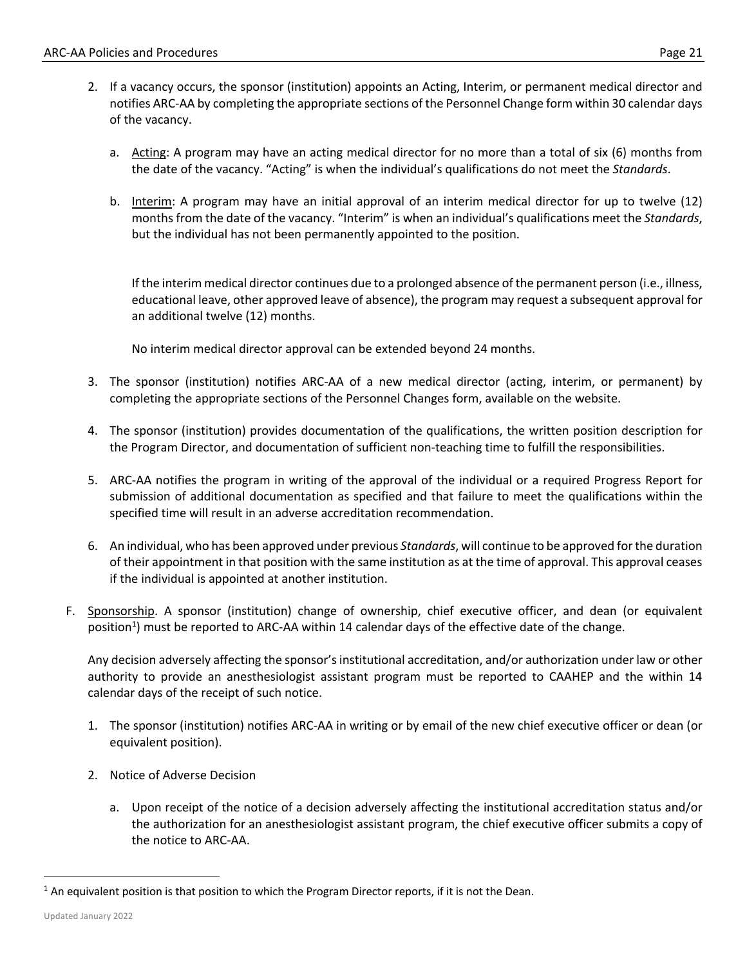- 2. If a vacancy occurs, the sponsor (institution) appoints an Acting, Interim, or permanent medical director and notifies ARC-AA by completing the appropriate sections of the Personnel Change form within 30 calendar days of the vacancy.
	- a. Acting: A program may have an acting medical director for no more than a total of six (6) months from the date of the vacancy. "Acting" is when the individual's qualifications do not meet the *Standards*.
	- b. Interim: A program may have an initial approval of an interim medical director for up to twelve (12) months from the date of the vacancy. "Interim" is when an individual's qualifications meet the *Standards*, but the individual has not been permanently appointed to the position.

If the interim medical director continues due to a prolonged absence of the permanent person (i.e., illness, educational leave, other approved leave of absence), the program may request a subsequent approval for an additional twelve (12) months.

No interim medical director approval can be extended beyond 24 months.

- 3. The sponsor (institution) notifies ARC-AA of a new medical director (acting, interim, or permanent) by completing the appropriate sections of the Personnel Changes form, available on the website.
- 4. The sponsor (institution) provides documentation of the qualifications, the written position description for the Program Director, and documentation of sufficient non-teaching time to fulfill the responsibilities.
- 5. ARC-AA notifies the program in writing of the approval of the individual or a required Progress Report for submission of additional documentation as specified and that failure to meet the qualifications within the specified time will result in an adverse accreditation recommendation.
- 6. An individual, who has been approved under previous *Standards*, will continue to be approved for the duration of their appointment in that position with the same institution as at the time of approval. This approval ceases if the individual is appointed at another institution.
- F. Sponsorship. A sponsor (institution) change of ownership, chief executive officer, and dean (or equivalent position<sup>1</sup>) must be reported to ARC-AA within 14 calendar days of the effective date of the change.

Any decision adversely affecting the sponsor's institutional accreditation, and/or authorization under law or other authority to provide an anesthesiologist assistant program must be reported to CAAHEP and the within 14 calendar days of the receipt of such notice.

- 1. The sponsor (institution) notifies ARC-AA in writing or by email of the new chief executive officer or dean (or equivalent position).
- 2. Notice of Adverse Decision
	- a. Upon receipt of the notice of a decision adversely affecting the institutional accreditation status and/or the authorization for an anesthesiologist assistant program, the chief executive officer submits a copy of the notice to ARC-AA.

<sup>&</sup>lt;sup>1</sup> An equivalent position is that position to which the Program Director reports, if it is not the Dean.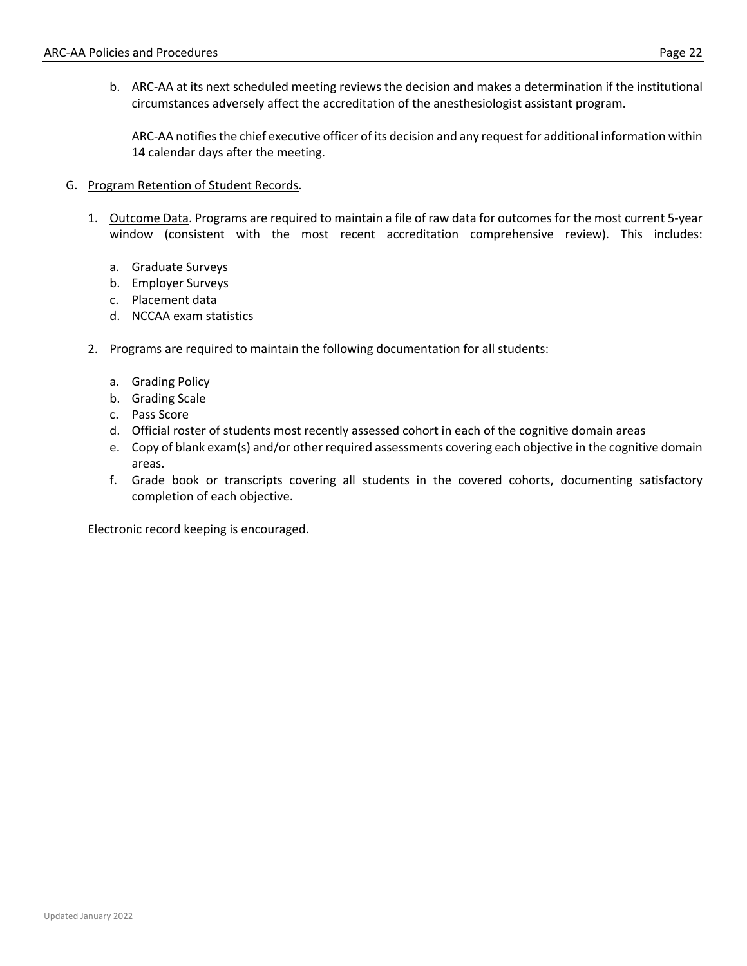b. ARC-AA at its next scheduled meeting reviews the decision and makes a determination if the institutional circumstances adversely affect the accreditation of the anesthesiologist assistant program.

ARC-AA notifies the chief executive officer of its decision and any request for additional information within 14 calendar days after the meeting.

- G. Program Retention of Student Records.
	- 1. Outcome Data. Programs are required to maintain a file of raw data for outcomes for the most current 5-year window (consistent with the most recent accreditation comprehensive review). This includes:
		- a. Graduate Surveys
		- b. Employer Surveys
		- c. Placement data
		- d. NCCAA exam statistics
	- 2. Programs are required to maintain the following documentation for all students:
		- a. Grading Policy
		- b. Grading Scale
		- c. Pass Score
		- d. Official roster of students most recently assessed cohort in each of the cognitive domain areas
		- e. Copy of blank exam(s) and/or other required assessments covering each objective in the cognitive domain areas.
		- f. Grade book or transcripts covering all students in the covered cohorts, documenting satisfactory completion of each objective.

Electronic record keeping is encouraged.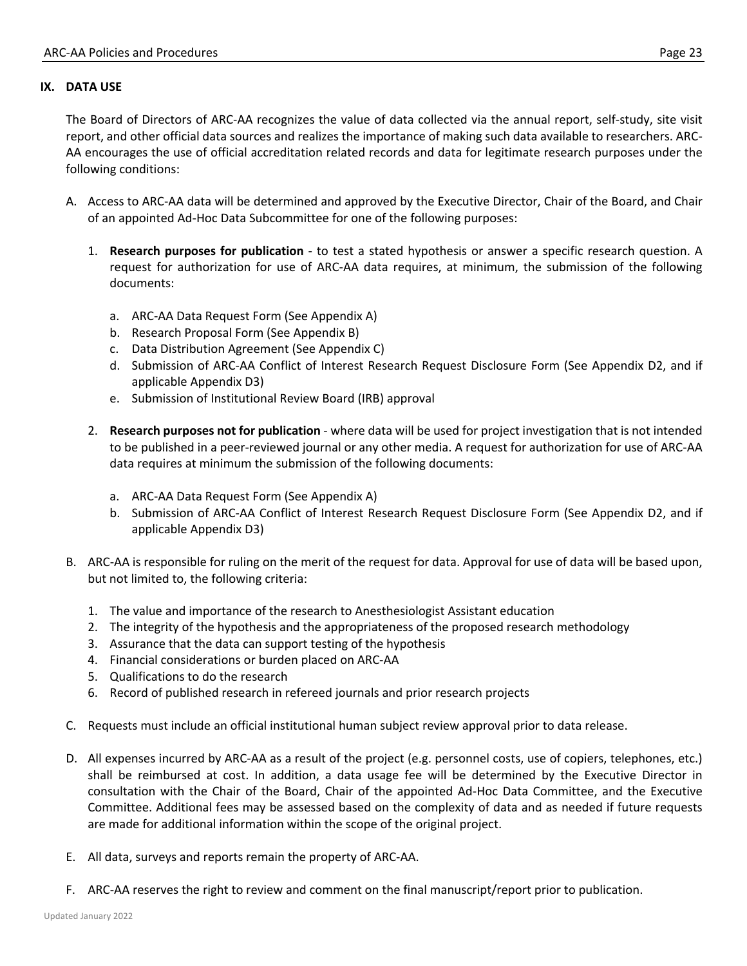#### **IX. DATA USE**

The Board of Directors of ARC-AA recognizes the value of data collected via the annual report, self-study, site visit report, and other official data sources and realizes the importance of making such data available to researchers. ARC-AA encourages the use of official accreditation related records and data for legitimate research purposes under the following conditions:

- A. Access to ARC-AA data will be determined and approved by the Executive Director, Chair of the Board, and Chair of an appointed Ad-Hoc Data Subcommittee for one of the following purposes:
	- 1. **Research purposes for publication** to test a stated hypothesis or answer a specific research question. A request for authorization for use of ARC-AA data requires, at minimum, the submission of the following documents:
		- a. ARC-AA Data Request Form (See Appendix A)
		- b. Research Proposal Form (See Appendix B)
		- c. Data Distribution Agreement (See Appendix C)
		- d. Submission of ARC-AA Conflict of Interest Research Request Disclosure Form (See Appendix D2, and if applicable Appendix D3)
		- e. Submission of Institutional Review Board (IRB) approval
	- 2. **Research purposes not for publication** where data will be used for project investigation that is not intended to be published in a peer-reviewed journal or any other media. A request for authorization for use of ARC-AA data requires at minimum the submission of the following documents:
		- a. ARC-AA Data Request Form (See Appendix A)
		- b. Submission of ARC-AA Conflict of Interest Research Request Disclosure Form (See Appendix D2, and if applicable Appendix D3)
- B. ARC-AA is responsible for ruling on the merit of the request for data. Approval for use of data will be based upon, but not limited to, the following criteria:
	- 1. The value and importance of the research to Anesthesiologist Assistant education
	- 2. The integrity of the hypothesis and the appropriateness of the proposed research methodology
	- 3. Assurance that the data can support testing of the hypothesis
	- 4. Financial considerations or burden placed on ARC-AA
	- 5. Qualifications to do the research
	- 6. Record of published research in refereed journals and prior research projects
- C. Requests must include an official institutional human subject review approval prior to data release.
- D. All expenses incurred by ARC-AA as a result of the project (e.g. personnel costs, use of copiers, telephones, etc.) shall be reimbursed at cost. In addition, a data usage fee will be determined by the Executive Director in consultation with the Chair of the Board, Chair of the appointed Ad-Hoc Data Committee, and the Executive Committee. Additional fees may be assessed based on the complexity of data and as needed if future requests are made for additional information within the scope of the original project.
- E. All data, surveys and reports remain the property of ARC-AA.
- F. ARC-AA reserves the right to review and comment on the final manuscript/report prior to publication.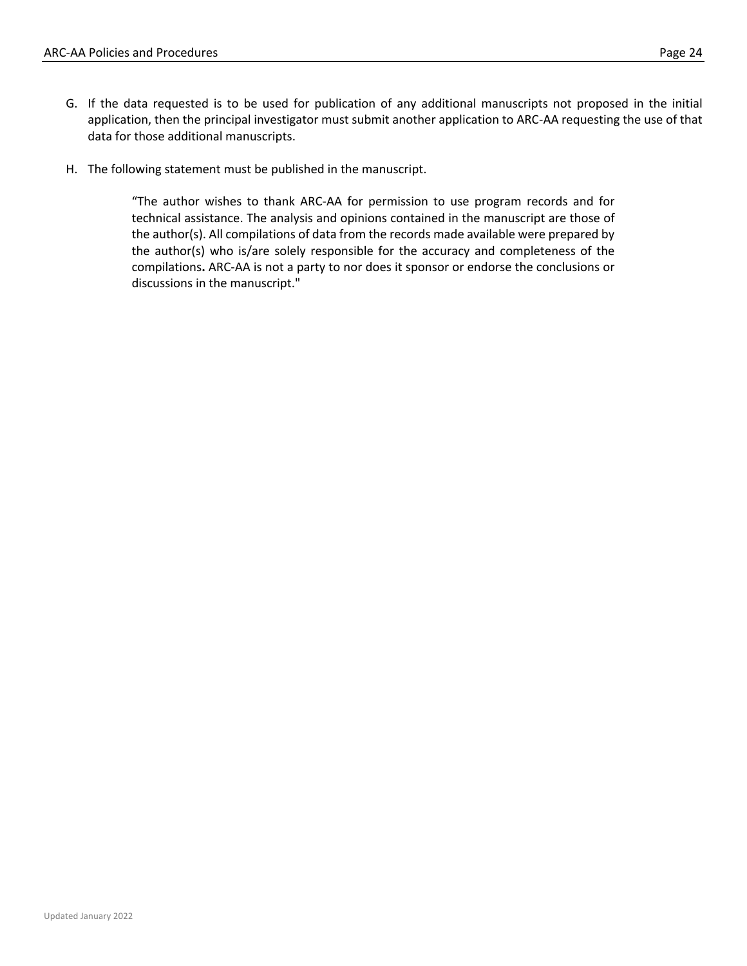- G. If the data requested is to be used for publication of any additional manuscripts not proposed in the initial application, then the principal investigator must submit another application to ARC-AA requesting the use of that data for those additional manuscripts.
- H. The following statement must be published in the manuscript.

"The author wishes to thank ARC-AA for permission to use program records and for technical assistance. The analysis and opinions contained in the manuscript are those of the author(s). All compilations of data from the records made available were prepared by the author(s) who is/are solely responsible for the accuracy and completeness of the compilations**.** ARC-AA is not a party to nor does it sponsor or endorse the conclusions or discussions in the manuscript."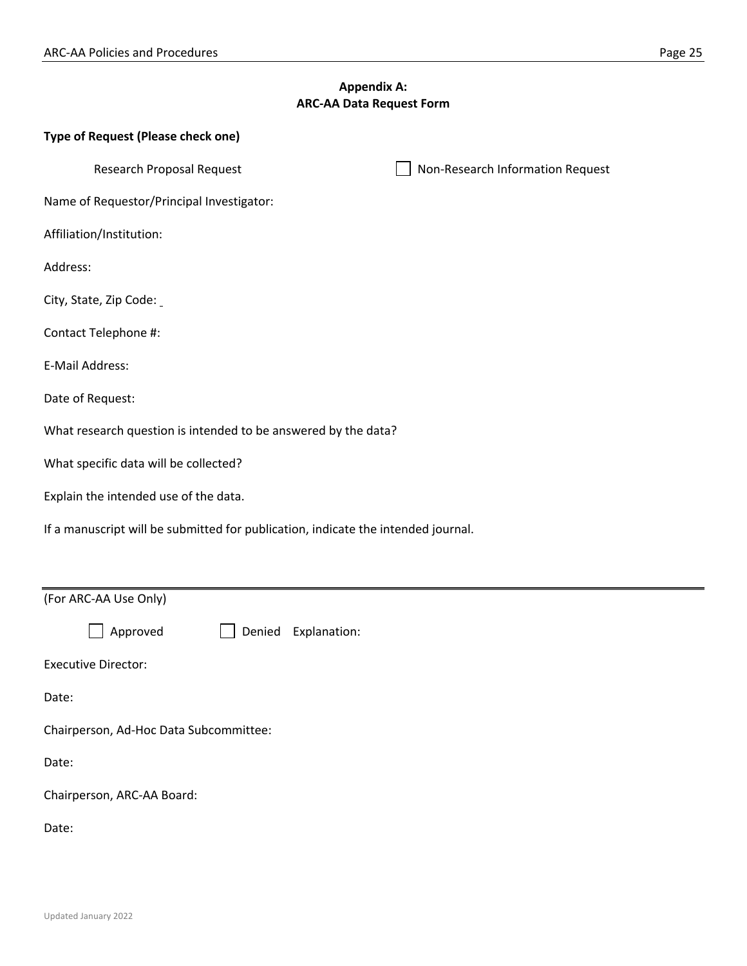## **Appendix A: ARC-AA Data Request Form**

| Type of Request (Please check one)                                                |  |  |  |
|-----------------------------------------------------------------------------------|--|--|--|
| <b>Research Proposal Request</b><br>Non-Research Information Request              |  |  |  |
| Name of Requestor/Principal Investigator:                                         |  |  |  |
| Affiliation/Institution:                                                          |  |  |  |
| Address:                                                                          |  |  |  |
| City, State, Zip Code:                                                            |  |  |  |
| Contact Telephone #:                                                              |  |  |  |
| E-Mail Address:                                                                   |  |  |  |
| Date of Request:                                                                  |  |  |  |
| What research question is intended to be answered by the data?                    |  |  |  |
| What specific data will be collected?                                             |  |  |  |
| Explain the intended use of the data.                                             |  |  |  |
| If a manuscript will be submitted for publication, indicate the intended journal. |  |  |  |
|                                                                                   |  |  |  |
| (For ARC-AA Use Only)                                                             |  |  |  |
| Explanation:<br>Approved<br>Denied                                                |  |  |  |
| <b>Executive Director:</b>                                                        |  |  |  |
| Date:                                                                             |  |  |  |
| Chairperson, Ad-Hoc Data Subcommittee:                                            |  |  |  |
| Date:                                                                             |  |  |  |
| Chairperson, ARC-AA Board:                                                        |  |  |  |
| Date:                                                                             |  |  |  |

▃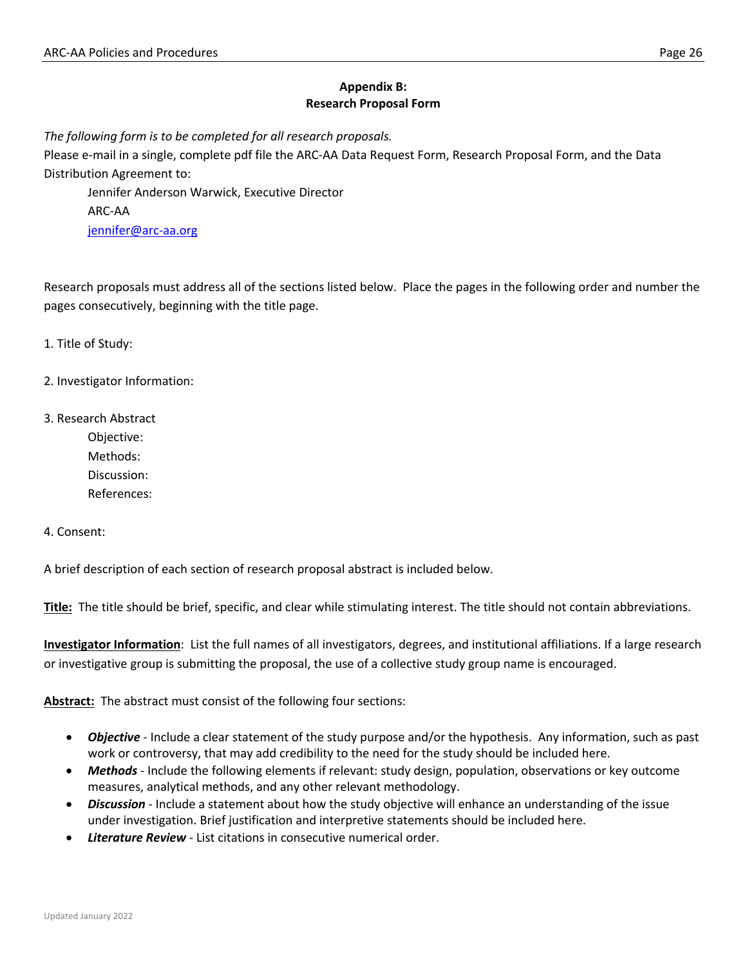## **Appendix B: Research Proposal Form**

*The following form is to be completed for all research proposals.* 

Please e-mail in a single, complete pdf file the ARC-AA Data Request Form, Research Proposal Form, and the Data Distribution Agreement to:

Jennifer Anderson Warwick, Executive Director ARC-AA jennifer@arc-aa.org

Research proposals must address all of the sections listed below. Place the pages in the following order and number the pages consecutively, beginning with the title page.

1. Title of Study:

2. Investigator Information:

3. Research Abstract

Objective: Methods: Discussion: References:

4. Consent:

A brief description of each section of research proposal abstract is included below.

**Title:** The title should be brief, specific, and clear while stimulating interest. The title should not contain abbreviations.

**Investigator Information**: List the full names of all investigators, degrees, and institutional affiliations. If a large research or investigative group is submitting the proposal, the use of a collective study group name is encouraged.

**Abstract:** The abstract must consist of the following four sections:

- *Objective* Include a clear statement of the study purpose and/or the hypothesis. Any information, such as past work or controversy, that may add credibility to the need for the study should be included here.
- *Methods* Include the following elements if relevant: study design, population, observations or key outcome measures, analytical methods, and any other relevant methodology.
- *Discussion* Include a statement about how the study objective will enhance an understanding of the issue under investigation. Brief justification and interpretive statements should be included here.
- *Literature Review* List citations in consecutive numerical order.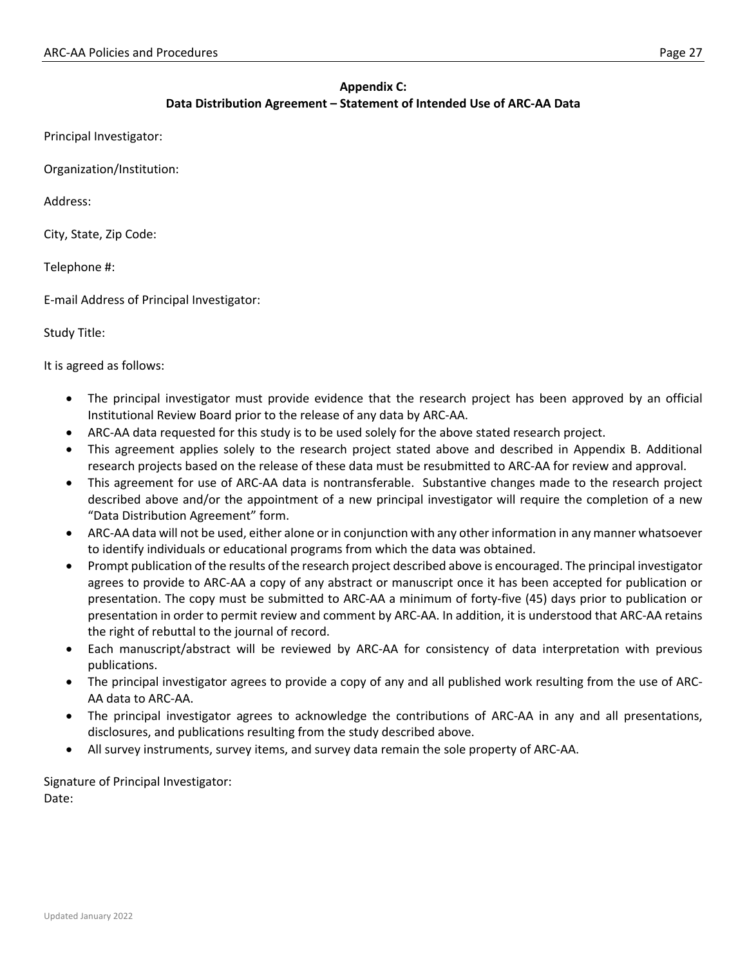## **Appendix C: Data Distribution Agreement – Statement of Intended Use of ARC-AA Data**

Principal Investigator:

Organization/Institution:

Address:

City, State, Zip Code:

Telephone #:

E-mail Address of Principal Investigator:

Study Title:

It is agreed as follows:

- The principal investigator must provide evidence that the research project has been approved by an official Institutional Review Board prior to the release of any data by ARC-AA.
- ARC-AA data requested for this study is to be used solely for the above stated research project.
- This agreement applies solely to the research project stated above and described in Appendix B. Additional research projects based on the release of these data must be resubmitted to ARC-AA for review and approval.
- This agreement for use of ARC-AA data is nontransferable. Substantive changes made to the research project described above and/or the appointment of a new principal investigator will require the completion of a new "Data Distribution Agreement" form.
- ARC-AA data will not be used, either alone or in conjunction with any other information in any manner whatsoever to identify individuals or educational programs from which the data was obtained.
- Prompt publication of the results of the research project described above is encouraged. The principal investigator agrees to provide to ARC-AA a copy of any abstract or manuscript once it has been accepted for publication or presentation. The copy must be submitted to ARC-AA a minimum of forty-five (45) days prior to publication or presentation in order to permit review and comment by ARC-AA. In addition, it is understood that ARC-AA retains the right of rebuttal to the journal of record.
- Each manuscript/abstract will be reviewed by ARC-AA for consistency of data interpretation with previous publications.
- The principal investigator agrees to provide a copy of any and all published work resulting from the use of ARC-AA data to ARC-AA.
- The principal investigator agrees to acknowledge the contributions of ARC-AA in any and all presentations, disclosures, and publications resulting from the study described above.
- All survey instruments, survey items, and survey data remain the sole property of ARC-AA.

Signature of Principal Investigator: Date: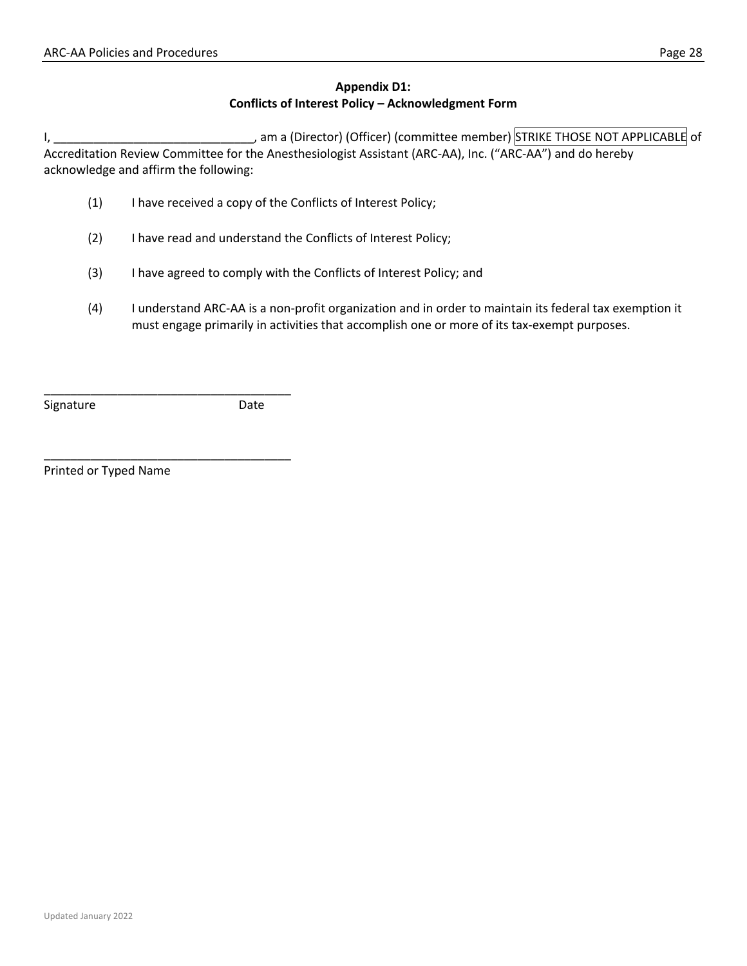## **Appendix D1: Conflicts of Interest Policy – Acknowledgment Form**

I, \_\_\_\_\_\_\_\_\_\_\_\_\_\_\_\_\_\_\_\_\_\_\_\_\_\_\_\_\_\_, am a (Director) (Officer) (committee member) STRIKE THOSE NOT APPLICABLE of Accreditation Review Committee for the Anesthesiologist Assistant (ARC-AA), Inc. ("ARC-AA") and do hereby acknowledge and affirm the following:

- (1) I have received a copy of the Conflicts of Interest Policy;
- (2) I have read and understand the Conflicts of Interest Policy;
- (3) I have agreed to comply with the Conflicts of Interest Policy; and
- (4) I understand ARC-AA is a non-profit organization and in order to maintain its federal tax exemption it must engage primarily in activities that accomplish one or more of its tax-exempt purposes.

Signature Date

Printed or Typed Name

\_\_\_\_\_\_\_\_\_\_\_\_\_\_\_\_\_\_\_\_\_\_\_\_\_\_\_\_\_\_\_\_\_\_\_\_\_

\_\_\_\_\_\_\_\_\_\_\_\_\_\_\_\_\_\_\_\_\_\_\_\_\_\_\_\_\_\_\_\_\_\_\_\_\_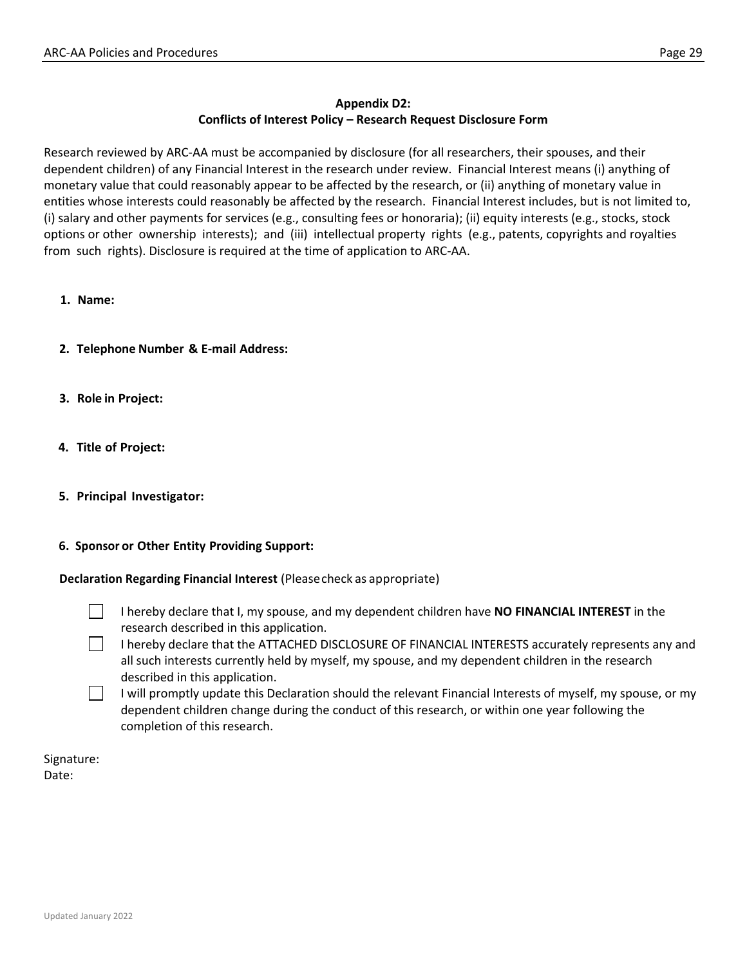## **Appendix D2: Conflicts of Interest Policy – Research Request Disclosure Form**

Research reviewed by ARC-AA must be accompanied by disclosure (for all researchers, their spouses, and their dependent children) of any Financial Interest in the research under review. Financial Interest means (i) anything of monetary value that could reasonably appear to be affected by the research, or (ii) anything of monetary value in entities whose interests could reasonably be affected by the research. Financial Interest includes, but is not limited to, (i) salary and other payments for services (e.g., consulting fees or honoraria); (ii) equity interests (e.g., stocks, stock options or other ownership interests); and (iii) intellectual property rights (e.g., patents, copyrights and royalties from such rights). Disclosure is required at the time of application to ARC-AA.

- **1. Name:**
- **2. Telephone Number & E-mail Address:**
- **3. Role in Project:**
- **4. Title of Project:**
- **5. Principal Investigator:**

#### **6. Sponsor or Other Entity Providing Support:**

**Declaration Regarding Financial Interest** (Pleasecheck as appropriate)

I hereby declare that I, my spouse, and my dependent children have **NO FINANCIAL INTEREST** in the research described in this application.

I hereby declare that the ATTACHED DISCLOSURE OF FINANCIAL INTERESTS accurately represents any and all such interests currently held by myself, my spouse, and my dependent children in the research described in this application.

I will promptly update this Declaration should the relevant Financial Interests of myself, my spouse, or my dependent children change during the conduct of this research, or within one year following the completion of this research.

Signature: Date: